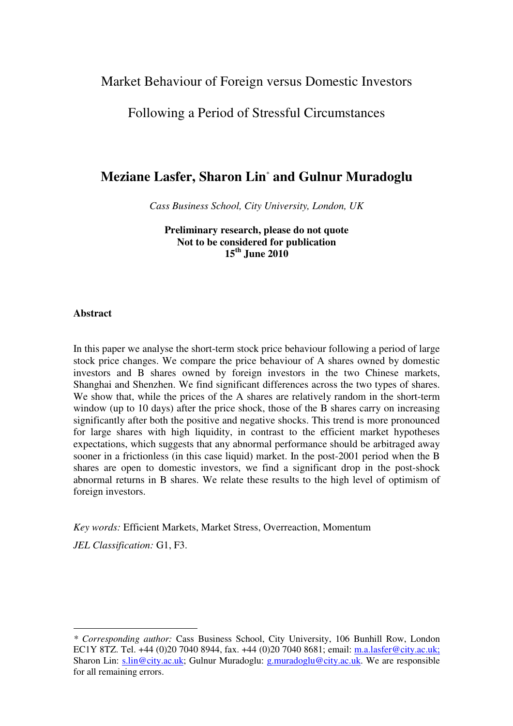# Market Behaviour of Foreign versus Domestic Investors

# Following a Period of Stressful Circumstances

# **Meziane Lasfer, Sharon Lin**\*  **and Gulnur Muradoglu**

*Cass Business School, City University, London, UK* 

**Preliminary research, please do not quote Not to be considered for publication 15th June 2010** 

#### **Abstract**

In this paper we analyse the short-term stock price behaviour following a period of large stock price changes. We compare the price behaviour of A shares owned by domestic investors and B shares owned by foreign investors in the two Chinese markets, Shanghai and Shenzhen. We find significant differences across the two types of shares. We show that, while the prices of the A shares are relatively random in the short-term window (up to 10 days) after the price shock, those of the B shares carry on increasing significantly after both the positive and negative shocks. This trend is more pronounced for large shares with high liquidity, in contrast to the efficient market hypotheses expectations, which suggests that any abnormal performance should be arbitraged away sooner in a frictionless (in this case liquid) market. In the post-2001 period when the B shares are open to domestic investors, we find a significant drop in the post-shock abnormal returns in B shares. We relate these results to the high level of optimism of foreign investors.

*Key words:* Efficient Markets, Market Stress, Overreaction, Momentum

*JEL Classification:* G1, F3.

 $\overline{a}$ 

*<sup>\*</sup> Corresponding author:* Cass Business School, City University, 106 Bunhill Row, London EC1Y 8TZ. Tel. +44 (0)20 7040 8944, fax. +44 (0)20 7040 8681; email: m.a.lasfer@city.ac.uk; Sharon Lin: s.lin@city.ac.uk; Gulnur Muradoglu: g.muradoglu@city.ac.uk. We are responsible for all remaining errors.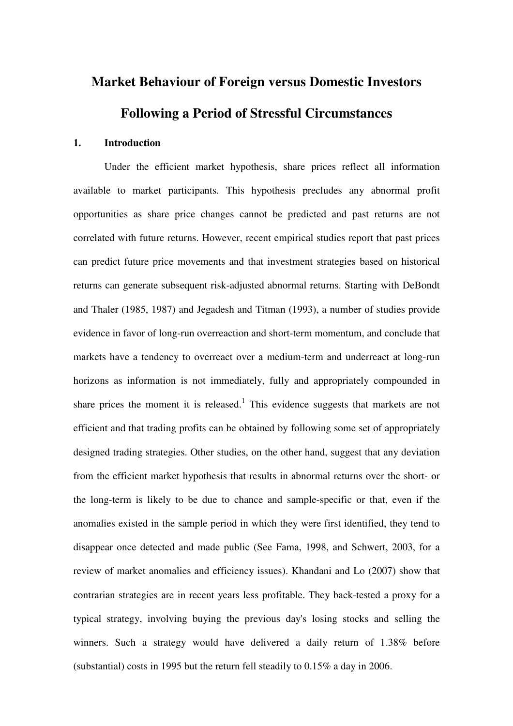# **Market Behaviour of Foreign versus Domestic Investors Following a Period of Stressful Circumstances**

#### **1. Introduction**

Under the efficient market hypothesis, share prices reflect all information available to market participants. This hypothesis precludes any abnormal profit opportunities as share price changes cannot be predicted and past returns are not correlated with future returns. However, recent empirical studies report that past prices can predict future price movements and that investment strategies based on historical returns can generate subsequent risk-adjusted abnormal returns. Starting with DeBondt and Thaler (1985, 1987) and Jegadesh and Titman (1993), a number of studies provide evidence in favor of long-run overreaction and short-term momentum, and conclude that markets have a tendency to overreact over a medium-term and underreact at long-run horizons as information is not immediately, fully and appropriately compounded in share prices the moment it is released.<sup>1</sup> This evidence suggests that markets are not efficient and that trading profits can be obtained by following some set of appropriately designed trading strategies. Other studies, on the other hand, suggest that any deviation from the efficient market hypothesis that results in abnormal returns over the short- or the long-term is likely to be due to chance and sample-specific or that, even if the anomalies existed in the sample period in which they were first identified, they tend to disappear once detected and made public (See Fama, 1998, and Schwert, 2003, for a review of market anomalies and efficiency issues). Khandani and Lo (2007) show that contrarian strategies are in recent years less profitable. They back-tested a proxy for a typical strategy, involving buying the previous day's losing stocks and selling the winners. Such a strategy would have delivered a daily return of 1.38% before (substantial) costs in 1995 but the return fell steadily to 0.15% a day in 2006.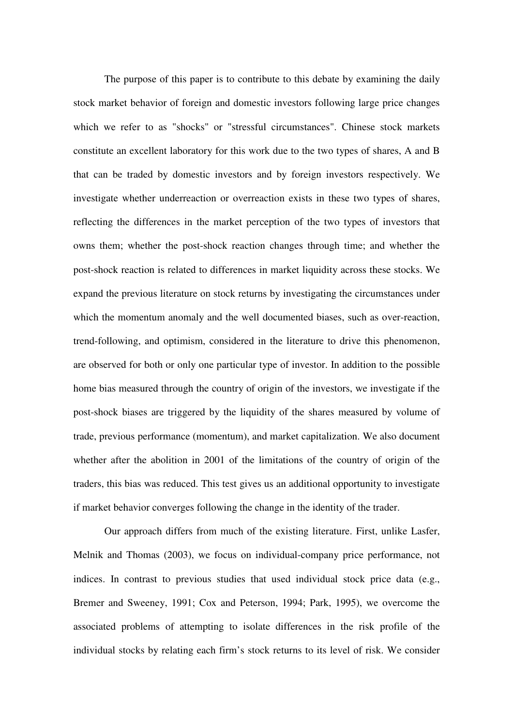The purpose of this paper is to contribute to this debate by examining the daily stock market behavior of foreign and domestic investors following large price changes which we refer to as "shocks" or "stressful circumstances". Chinese stock markets constitute an excellent laboratory for this work due to the two types of shares, A and B that can be traded by domestic investors and by foreign investors respectively. We investigate whether underreaction or overreaction exists in these two types of shares, reflecting the differences in the market perception of the two types of investors that owns them; whether the post-shock reaction changes through time; and whether the post-shock reaction is related to differences in market liquidity across these stocks. We expand the previous literature on stock returns by investigating the circumstances under which the momentum anomaly and the well documented biases, such as over-reaction, trend-following, and optimism, considered in the literature to drive this phenomenon, are observed for both or only one particular type of investor. In addition to the possible home bias measured through the country of origin of the investors, we investigate if the post-shock biases are triggered by the liquidity of the shares measured by volume of trade, previous performance (momentum), and market capitalization. We also document whether after the abolition in 2001 of the limitations of the country of origin of the traders, this bias was reduced. This test gives us an additional opportunity to investigate if market behavior converges following the change in the identity of the trader.

Our approach differs from much of the existing literature. First, unlike Lasfer, Melnik and Thomas (2003), we focus on individual-company price performance, not indices. In contrast to previous studies that used individual stock price data (e.g., Bremer and Sweeney, 1991; Cox and Peterson, 1994; Park, 1995), we overcome the associated problems of attempting to isolate differences in the risk profile of the individual stocks by relating each firm's stock returns to its level of risk. We consider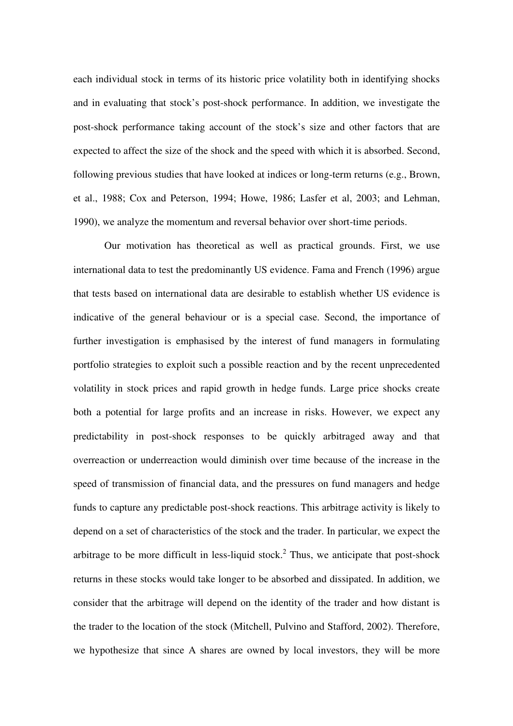each individual stock in terms of its historic price volatility both in identifying shocks and in evaluating that stock's post-shock performance. In addition, we investigate the post-shock performance taking account of the stock's size and other factors that are expected to affect the size of the shock and the speed with which it is absorbed. Second, following previous studies that have looked at indices or long-term returns (e.g., Brown, et al., 1988; Cox and Peterson, 1994; Howe, 1986; Lasfer et al, 2003; and Lehman, 1990), we analyze the momentum and reversal behavior over short-time periods.

Our motivation has theoretical as well as practical grounds. First, we use international data to test the predominantly US evidence. Fama and French (1996) argue that tests based on international data are desirable to establish whether US evidence is indicative of the general behaviour or is a special case. Second, the importance of further investigation is emphasised by the interest of fund managers in formulating portfolio strategies to exploit such a possible reaction and by the recent unprecedented volatility in stock prices and rapid growth in hedge funds. Large price shocks create both a potential for large profits and an increase in risks. However, we expect any predictability in post-shock responses to be quickly arbitraged away and that overreaction or underreaction would diminish over time because of the increase in the speed of transmission of financial data, and the pressures on fund managers and hedge funds to capture any predictable post-shock reactions. This arbitrage activity is likely to depend on a set of characteristics of the stock and the trader. In particular, we expect the arbitrage to be more difficult in less-liquid stock.<sup>2</sup> Thus, we anticipate that post-shock returns in these stocks would take longer to be absorbed and dissipated. In addition, we consider that the arbitrage will depend on the identity of the trader and how distant is the trader to the location of the stock (Mitchell, Pulvino and Stafford, 2002). Therefore, we hypothesize that since A shares are owned by local investors, they will be more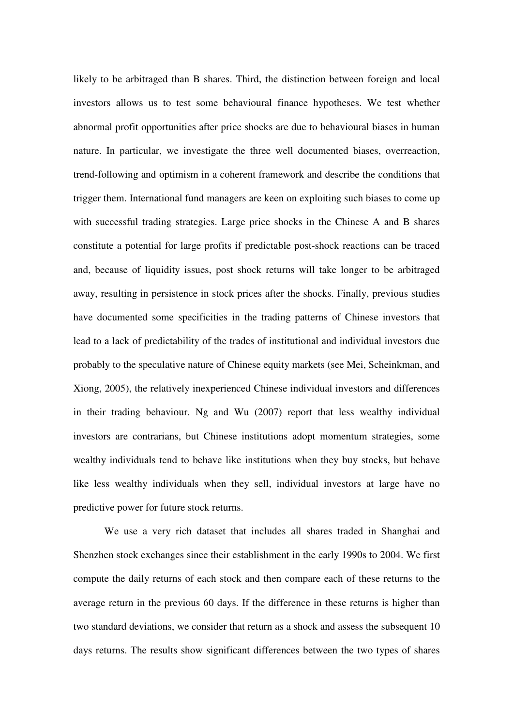likely to be arbitraged than B shares. Third, the distinction between foreign and local investors allows us to test some behavioural finance hypotheses. We test whether abnormal profit opportunities after price shocks are due to behavioural biases in human nature. In particular, we investigate the three well documented biases, overreaction, trend-following and optimism in a coherent framework and describe the conditions that trigger them. International fund managers are keen on exploiting such biases to come up with successful trading strategies. Large price shocks in the Chinese A and B shares constitute a potential for large profits if predictable post-shock reactions can be traced and, because of liquidity issues, post shock returns will take longer to be arbitraged away, resulting in persistence in stock prices after the shocks. Finally, previous studies have documented some specificities in the trading patterns of Chinese investors that lead to a lack of predictability of the trades of institutional and individual investors due probably to the speculative nature of Chinese equity markets (see Mei, Scheinkman, and Xiong, 2005), the relatively inexperienced Chinese individual investors and differences in their trading behaviour. Ng and Wu (2007) report that less wealthy individual investors are contrarians, but Chinese institutions adopt momentum strategies, some wealthy individuals tend to behave like institutions when they buy stocks, but behave like less wealthy individuals when they sell, individual investors at large have no predictive power for future stock returns.

We use a very rich dataset that includes all shares traded in Shanghai and Shenzhen stock exchanges since their establishment in the early 1990s to 2004. We first compute the daily returns of each stock and then compare each of these returns to the average return in the previous 60 days. If the difference in these returns is higher than two standard deviations, we consider that return as a shock and assess the subsequent 10 days returns. The results show significant differences between the two types of shares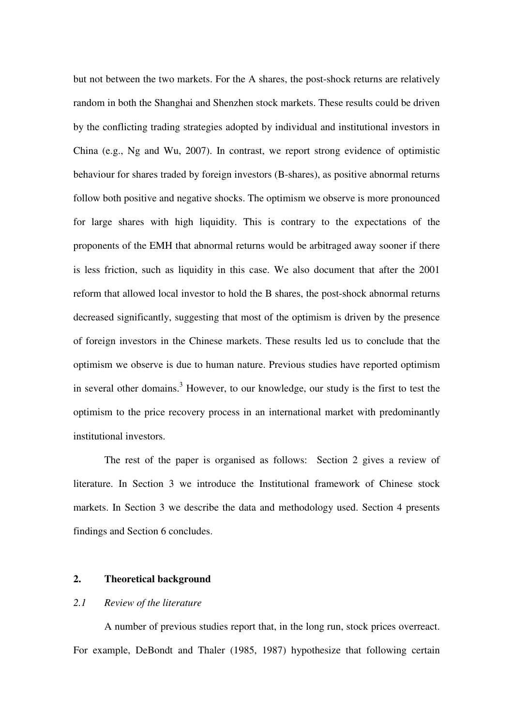but not between the two markets. For the A shares, the post-shock returns are relatively random in both the Shanghai and Shenzhen stock markets. These results could be driven by the conflicting trading strategies adopted by individual and institutional investors in China (e.g., Ng and Wu, 2007). In contrast, we report strong evidence of optimistic behaviour for shares traded by foreign investors (B-shares), as positive abnormal returns follow both positive and negative shocks. The optimism we observe is more pronounced for large shares with high liquidity. This is contrary to the expectations of the proponents of the EMH that abnormal returns would be arbitraged away sooner if there is less friction, such as liquidity in this case. We also document that after the 2001 reform that allowed local investor to hold the B shares, the post-shock abnormal returns decreased significantly, suggesting that most of the optimism is driven by the presence of foreign investors in the Chinese markets. These results led us to conclude that the optimism we observe is due to human nature. Previous studies have reported optimism in several other domains.<sup>3</sup> However, to our knowledge, our study is the first to test the optimism to the price recovery process in an international market with predominantly institutional investors.

The rest of the paper is organised as follows: Section 2 gives a review of literature. In Section 3 we introduce the Institutional framework of Chinese stock markets. In Section 3 we describe the data and methodology used. Section 4 presents findings and Section 6 concludes.

#### **2. Theoretical background**

#### *2.1 Review of the literature*

A number of previous studies report that, in the long run, stock prices overreact. For example, DeBondt and Thaler (1985, 1987) hypothesize that following certain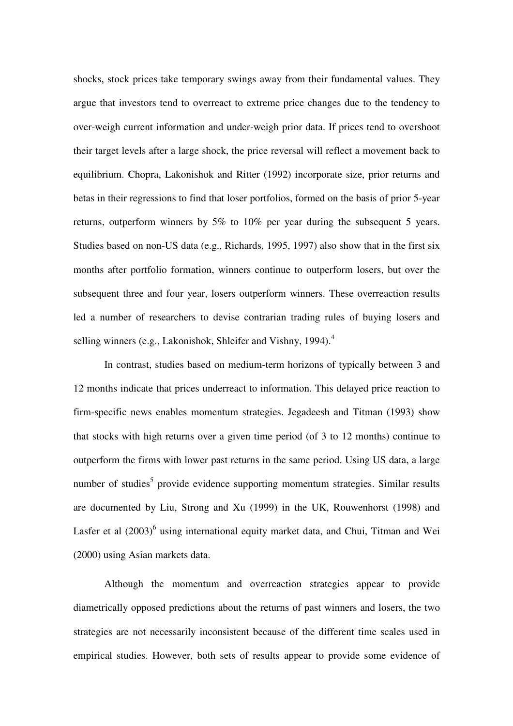shocks, stock prices take temporary swings away from their fundamental values. They argue that investors tend to overreact to extreme price changes due to the tendency to over-weigh current information and under-weigh prior data. If prices tend to overshoot their target levels after a large shock, the price reversal will reflect a movement back to equilibrium. Chopra, Lakonishok and Ritter (1992) incorporate size, prior returns and betas in their regressions to find that loser portfolios, formed on the basis of prior 5-year returns, outperform winners by 5% to 10% per year during the subsequent 5 years. Studies based on non-US data (e.g., Richards, 1995, 1997) also show that in the first six months after portfolio formation, winners continue to outperform losers, but over the subsequent three and four year, losers outperform winners. These overreaction results led a number of researchers to devise contrarian trading rules of buying losers and selling winners (e.g., Lakonishok, Shleifer and Vishny, 1994).<sup>4</sup>

In contrast, studies based on medium-term horizons of typically between 3 and 12 months indicate that prices underreact to information. This delayed price reaction to firm-specific news enables momentum strategies. Jegadeesh and Titman (1993) show that stocks with high returns over a given time period (of 3 to 12 months) continue to outperform the firms with lower past returns in the same period. Using US data, a large number of studies<sup>5</sup> provide evidence supporting momentum strategies. Similar results are documented by Liu, Strong and Xu (1999) in the UK, Rouwenhorst (1998) and Lasfer et al (2003)<sup>6</sup> using international equity market data, and Chui, Titman and Wei (2000) using Asian markets data.

Although the momentum and overreaction strategies appear to provide diametrically opposed predictions about the returns of past winners and losers, the two strategies are not necessarily inconsistent because of the different time scales used in empirical studies. However, both sets of results appear to provide some evidence of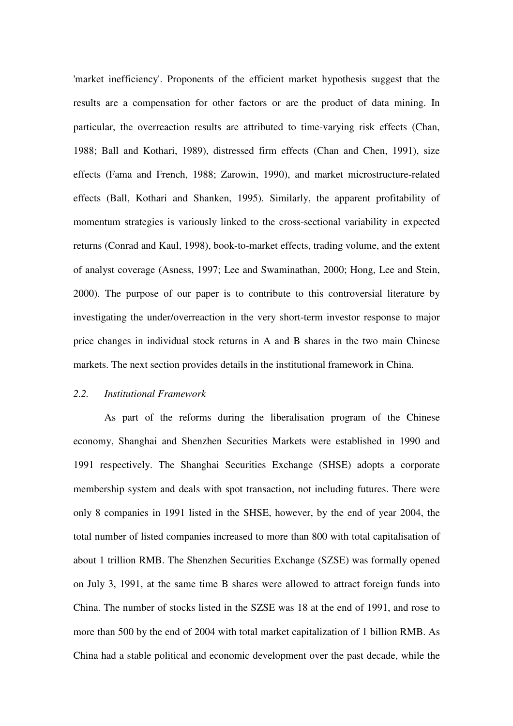'market inefficiency'. Proponents of the efficient market hypothesis suggest that the results are a compensation for other factors or are the product of data mining. In particular, the overreaction results are attributed to time-varying risk effects (Chan, 1988; Ball and Kothari, 1989), distressed firm effects (Chan and Chen, 1991), size effects (Fama and French, 1988; Zarowin, 1990), and market microstructure-related effects (Ball, Kothari and Shanken, 1995). Similarly, the apparent profitability of momentum strategies is variously linked to the cross-sectional variability in expected returns (Conrad and Kaul, 1998), book-to-market effects, trading volume, and the extent of analyst coverage (Asness, 1997; Lee and Swaminathan, 2000; Hong, Lee and Stein, 2000). The purpose of our paper is to contribute to this controversial literature by investigating the under/overreaction in the very short-term investor response to major price changes in individual stock returns in A and B shares in the two main Chinese markets. The next section provides details in the institutional framework in China.

#### *2.2. Institutional Framework*

As part of the reforms during the liberalisation program of the Chinese economy, Shanghai and Shenzhen Securities Markets were established in 1990 and 1991 respectively. The Shanghai Securities Exchange (SHSE) adopts a corporate membership system and deals with spot transaction, not including futures. There were only 8 companies in 1991 listed in the SHSE, however, by the end of year 2004, the total number of listed companies increased to more than 800 with total capitalisation of about 1 trillion RMB. The Shenzhen Securities Exchange (SZSE) was formally opened on July 3, 1991, at the same time B shares were allowed to attract foreign funds into China. The number of stocks listed in the SZSE was 18 at the end of 1991, and rose to more than 500 by the end of 2004 with total market capitalization of 1 billion RMB. As China had a stable political and economic development over the past decade, while the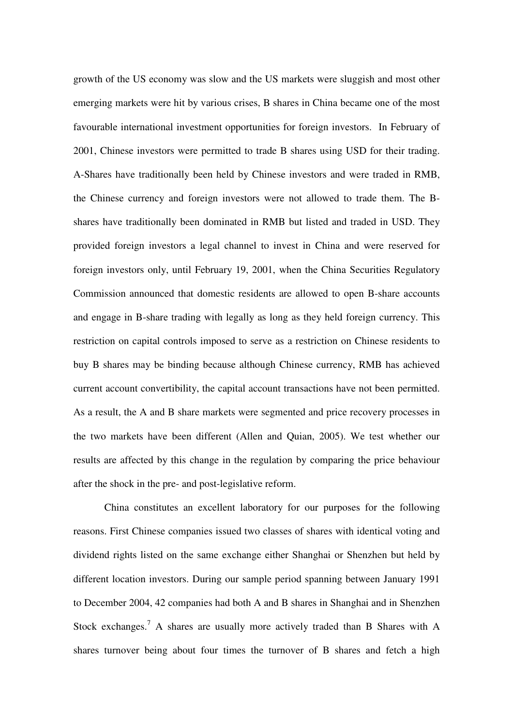growth of the US economy was slow and the US markets were sluggish and most other emerging markets were hit by various crises, B shares in China became one of the most favourable international investment opportunities for foreign investors. In February of 2001, Chinese investors were permitted to trade B shares using USD for their trading. A-Shares have traditionally been held by Chinese investors and were traded in RMB, the Chinese currency and foreign investors were not allowed to trade them. The Bshares have traditionally been dominated in RMB but listed and traded in USD. They provided foreign investors a legal channel to invest in China and were reserved for foreign investors only, until February 19, 2001, when the China Securities Regulatory Commission announced that domestic residents are allowed to open B-share accounts and engage in B-share trading with legally as long as they held foreign currency. This restriction on capital controls imposed to serve as a restriction on Chinese residents to buy B shares may be binding because although Chinese currency, RMB has achieved current account convertibility, the capital account transactions have not been permitted. As a result, the A and B share markets were segmented and price recovery processes in the two markets have been different (Allen and Quian, 2005). We test whether our results are affected by this change in the regulation by comparing the price behaviour after the shock in the pre- and post-legislative reform.

China constitutes an excellent laboratory for our purposes for the following reasons. First Chinese companies issued two classes of shares with identical voting and dividend rights listed on the same exchange either Shanghai or Shenzhen but held by different location investors. During our sample period spanning between January 1991 to December 2004, 42 companies had both A and B shares in Shanghai and in Shenzhen Stock exchanges.<sup>7</sup> A shares are usually more actively traded than B Shares with A shares turnover being about four times the turnover of B shares and fetch a high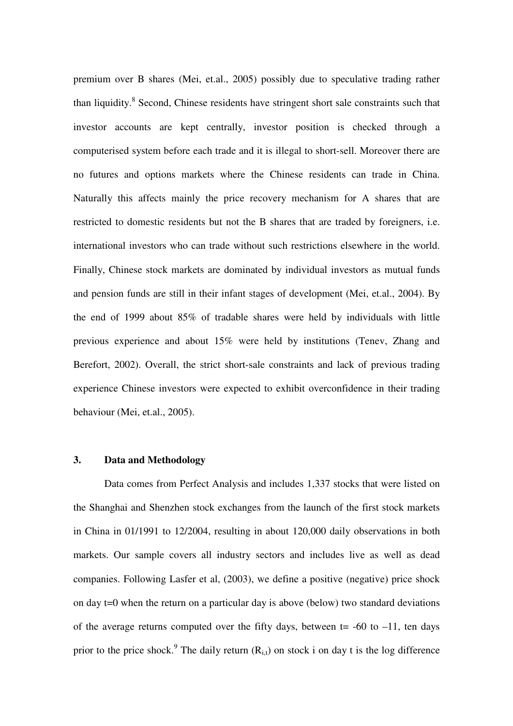premium over B shares (Mei, et.al., 2005) possibly due to speculative trading rather than liquidity.<sup>8</sup> Second, Chinese residents have stringent short sale constraints such that investor accounts are kept centrally, investor position is checked through a computerised system before each trade and it is illegal to short-sell. Moreover there are no futures and options markets where the Chinese residents can trade in China. Naturally this affects mainly the price recovery mechanism for A shares that are restricted to domestic residents but not the B shares that are traded by foreigners, i.e. international investors who can trade without such restrictions elsewhere in the world. Finally, Chinese stock markets are dominated by individual investors as mutual funds and pension funds are still in their infant stages of development (Mei, et.al., 2004). By the end of 1999 about 85% of tradable shares were held by individuals with little previous experience and about 15% were held by institutions (Tenev, Zhang and Berefort, 2002). Overall, the strict short-sale constraints and lack of previous trading experience Chinese investors were expected to exhibit overconfidence in their trading behaviour (Mei, et.al., 2005).

#### **3. Data and Methodology**

Data comes from Perfect Analysis and includes 1,337 stocks that were listed on the Shanghai and Shenzhen stock exchanges from the launch of the first stock markets in China in 01/1991 to 12/2004, resulting in about 120,000 daily observations in both markets. Our sample covers all industry sectors and includes live as well as dead companies. Following Lasfer et al, (2003), we define a positive (negative) price shock on day t=0 when the return on a particular day is above (below) two standard deviations of the average returns computed over the fifty days, between  $t = -60$  to  $-11$ , ten days prior to the price shock.<sup>9</sup> The daily return  $(R_{i,t})$  on stock i on day t is the log difference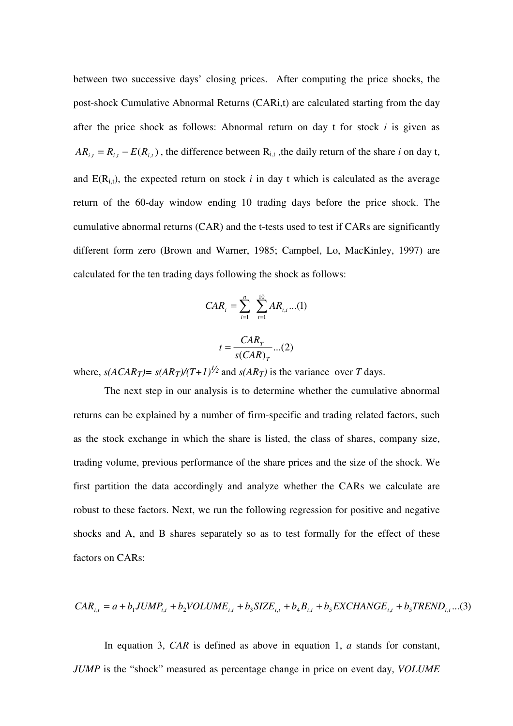between two successive days' closing prices. After computing the price shocks, the post-shock Cumulative Abnormal Returns (CARi,t) are calculated starting from the day after the price shock as follows: Abnormal return on day t for stock *i* is given as  $AR_{i,t} = R_{i,t} - E(R_{i,t})$ , the difference between  $R_{i,t}$ , the daily return of the share *i* on day t, and  $E(R_{i,t})$ , the expected return on stock *i* in day t which is calculated as the average return of the 60-day window ending 10 trading days before the price shock. The cumulative abnormal returns (CAR) and the t-tests used to test if CARs are significantly different form zero (Brown and Warner, 1985; Campbel, Lo, MacKinley, 1997) are calculated for the ten trading days following the shock as follows:

$$
CAR_{t} = \sum_{i=1}^{n} \sum_{t=1}^{10} AR_{i,t}...(1)
$$

$$
t = \frac{CAR_{\tau}}{s(CAR)_{\tau}}...(2)
$$

where,  $s(ACAR_T) = s(AR_T)/(T+1)^{1/2}$  and  $s(AR_T)$  is the variance over *T* days.

The next step in our analysis is to determine whether the cumulative abnormal returns can be explained by a number of firm-specific and trading related factors, such as the stock exchange in which the share is listed, the class of shares, company size, trading volume, previous performance of the share prices and the size of the shock. We first partition the data accordingly and analyze whether the CARs we calculate are robust to these factors. Next, we run the following regression for positive and negative shocks and A, and B shares separately so as to test formally for the effect of these factors on CARs:

$$
CAR_{i,t} = a + b_1 JUMP_{i,t} + b_2 VOLLIME_{i,t} + b_3 SIZE_{i,t} + b_4 B_{i,t} + b_5 EXCHANGE_{i,t} + b_5 TREND_{i,t}...(3)
$$

In equation 3, *CAR* is defined as above in equation 1, *a* stands for constant, *JUMP* is the "shock" measured as percentage change in price on event day, *VOLUME*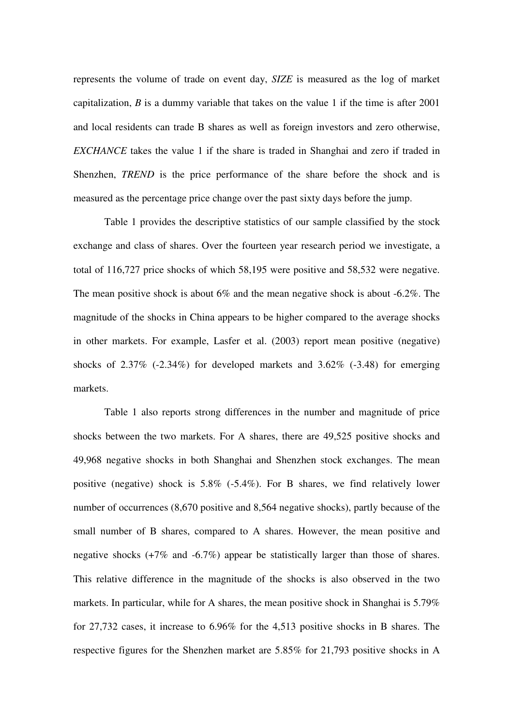represents the volume of trade on event day, *SIZE* is measured as the log of market capitalization, *B* is a dummy variable that takes on the value 1 if the time is after 2001 and local residents can trade B shares as well as foreign investors and zero otherwise, *EXCHANCE* takes the value 1 if the share is traded in Shanghai and zero if traded in Shenzhen, *TREND* is the price performance of the share before the shock and is measured as the percentage price change over the past sixty days before the jump.

Table 1 provides the descriptive statistics of our sample classified by the stock exchange and class of shares. Over the fourteen year research period we investigate, a total of 116,727 price shocks of which 58,195 were positive and 58,532 were negative. The mean positive shock is about 6% and the mean negative shock is about -6.2%. The magnitude of the shocks in China appears to be higher compared to the average shocks in other markets. For example, Lasfer et al. (2003) report mean positive (negative) shocks of  $2.37\%$  (-2.34%) for developed markets and  $3.62\%$  (-3.48) for emerging markets.

Table 1 also reports strong differences in the number and magnitude of price shocks between the two markets. For A shares, there are 49,525 positive shocks and 49,968 negative shocks in both Shanghai and Shenzhen stock exchanges. The mean positive (negative) shock is 5.8% (-5.4%). For B shares, we find relatively lower number of occurrences (8,670 positive and 8,564 negative shocks), partly because of the small number of B shares, compared to A shares. However, the mean positive and negative shocks (+7% and -6.7%) appear be statistically larger than those of shares. This relative difference in the magnitude of the shocks is also observed in the two markets. In particular, while for A shares, the mean positive shock in Shanghai is 5.79% for 27,732 cases, it increase to 6.96% for the 4,513 positive shocks in B shares. The respective figures for the Shenzhen market are 5.85% for 21,793 positive shocks in A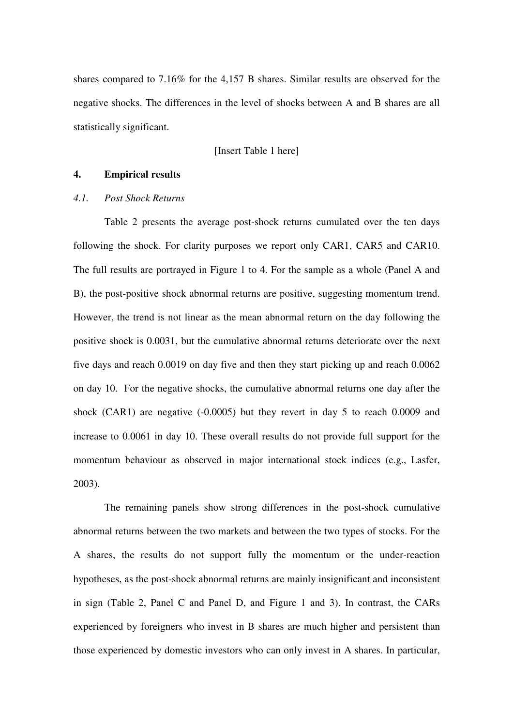shares compared to 7.16% for the 4,157 B shares. Similar results are observed for the negative shocks. The differences in the level of shocks between A and B shares are all statistically significant.

[Insert Table 1 here]

#### **4. Empirical results**

#### *4.1. Post Shock Returns*

Table 2 presents the average post-shock returns cumulated over the ten days following the shock. For clarity purposes we report only CAR1, CAR5 and CAR10. The full results are portrayed in Figure 1 to 4. For the sample as a whole (Panel A and B), the post-positive shock abnormal returns are positive, suggesting momentum trend. However, the trend is not linear as the mean abnormal return on the day following the positive shock is 0.0031, but the cumulative abnormal returns deteriorate over the next five days and reach 0.0019 on day five and then they start picking up and reach 0.0062 on day 10. For the negative shocks, the cumulative abnormal returns one day after the shock (CAR1) are negative (-0.0005) but they revert in day 5 to reach 0.0009 and increase to 0.0061 in day 10. These overall results do not provide full support for the momentum behaviour as observed in major international stock indices (e.g., Lasfer, 2003).

The remaining panels show strong differences in the post-shock cumulative abnormal returns between the two markets and between the two types of stocks. For the A shares, the results do not support fully the momentum or the under-reaction hypotheses, as the post-shock abnormal returns are mainly insignificant and inconsistent in sign (Table 2, Panel C and Panel D, and Figure 1 and 3). In contrast, the CARs experienced by foreigners who invest in B shares are much higher and persistent than those experienced by domestic investors who can only invest in A shares. In particular,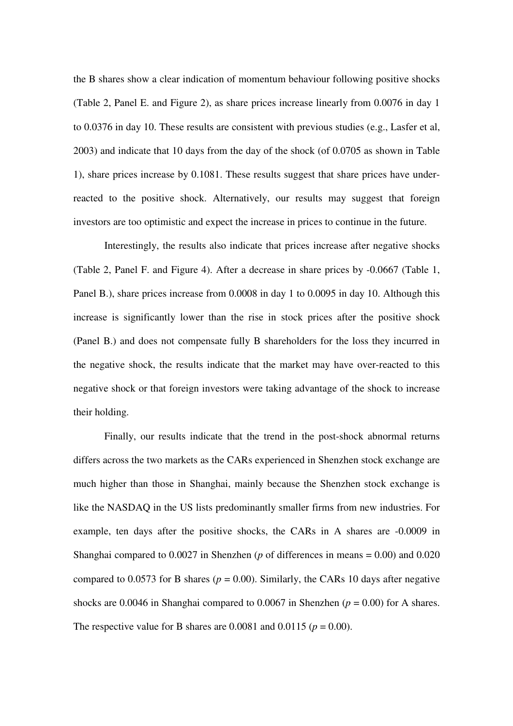the B shares show a clear indication of momentum behaviour following positive shocks (Table 2, Panel E. and Figure 2), as share prices increase linearly from 0.0076 in day 1 to 0.0376 in day 10. These results are consistent with previous studies (e.g., Lasfer et al, 2003) and indicate that 10 days from the day of the shock (of 0.0705 as shown in Table 1), share prices increase by 0.1081. These results suggest that share prices have underreacted to the positive shock. Alternatively, our results may suggest that foreign investors are too optimistic and expect the increase in prices to continue in the future.

Interestingly, the results also indicate that prices increase after negative shocks (Table 2, Panel F. and Figure 4). After a decrease in share prices by -0.0667 (Table 1, Panel B.), share prices increase from 0.0008 in day 1 to 0.0095 in day 10. Although this increase is significantly lower than the rise in stock prices after the positive shock (Panel B.) and does not compensate fully B shareholders for the loss they incurred in the negative shock, the results indicate that the market may have over-reacted to this negative shock or that foreign investors were taking advantage of the shock to increase their holding.

Finally, our results indicate that the trend in the post-shock abnormal returns differs across the two markets as the CARs experienced in Shenzhen stock exchange are much higher than those in Shanghai, mainly because the Shenzhen stock exchange is like the NASDAQ in the US lists predominantly smaller firms from new industries. For example, ten days after the positive shocks, the CARs in A shares are -0.0009 in Shanghai compared to 0.0027 in Shenzhen (*p* of differences in means = 0.00) and 0.020 compared to 0.0573 for B shares ( $p = 0.00$ ). Similarly, the CARs 10 days after negative shocks are 0.0046 in Shanghai compared to 0.0067 in Shenzhen ( $p = 0.00$ ) for A shares. The respective value for B shares are  $0.0081$  and  $0.0115$  ( $p = 0.00$ ).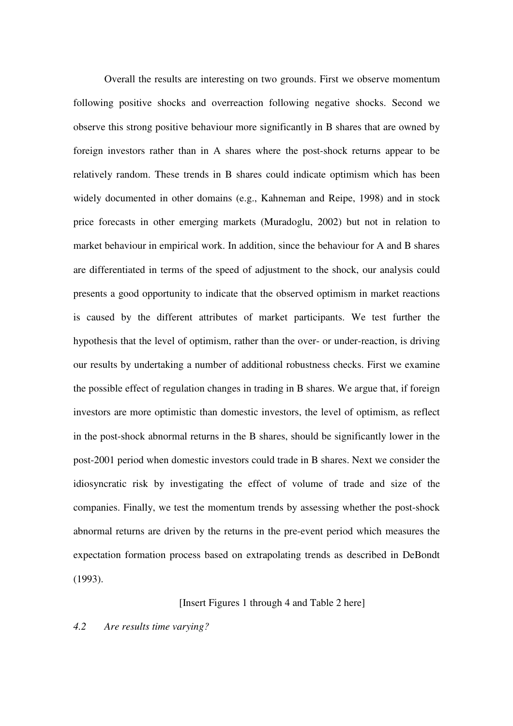Overall the results are interesting on two grounds. First we observe momentum following positive shocks and overreaction following negative shocks. Second we observe this strong positive behaviour more significantly in B shares that are owned by foreign investors rather than in A shares where the post-shock returns appear to be relatively random. These trends in B shares could indicate optimism which has been widely documented in other domains (e.g., Kahneman and Reipe, 1998) and in stock price forecasts in other emerging markets (Muradoglu, 2002) but not in relation to market behaviour in empirical work. In addition, since the behaviour for A and B shares are differentiated in terms of the speed of adjustment to the shock, our analysis could presents a good opportunity to indicate that the observed optimism in market reactions is caused by the different attributes of market participants. We test further the hypothesis that the level of optimism, rather than the over- or under-reaction, is driving our results by undertaking a number of additional robustness checks. First we examine the possible effect of regulation changes in trading in B shares. We argue that, if foreign investors are more optimistic than domestic investors, the level of optimism, as reflect in the post-shock abnormal returns in the B shares, should be significantly lower in the post-2001 period when domestic investors could trade in B shares. Next we consider the idiosyncratic risk by investigating the effect of volume of trade and size of the companies. Finally, we test the momentum trends by assessing whether the post-shock abnormal returns are driven by the returns in the pre-event period which measures the expectation formation process based on extrapolating trends as described in DeBondt (1993).

#### [Insert Figures 1 through 4 and Table 2 here]

#### *4.2 Are results time varying?*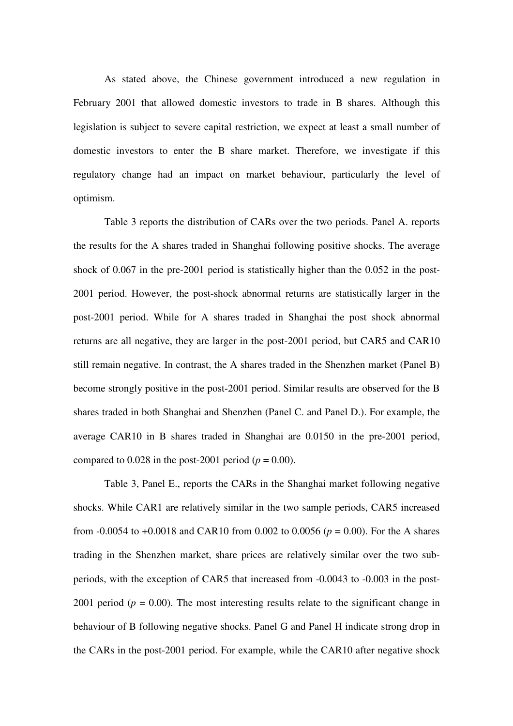As stated above, the Chinese government introduced a new regulation in February 2001 that allowed domestic investors to trade in B shares. Although this legislation is subject to severe capital restriction, we expect at least a small number of domestic investors to enter the B share market. Therefore, we investigate if this regulatory change had an impact on market behaviour, particularly the level of optimism.

Table 3 reports the distribution of CARs over the two periods. Panel A. reports the results for the A shares traded in Shanghai following positive shocks. The average shock of 0.067 in the pre-2001 period is statistically higher than the 0.052 in the post-2001 period. However, the post-shock abnormal returns are statistically larger in the post-2001 period. While for A shares traded in Shanghai the post shock abnormal returns are all negative, they are larger in the post-2001 period, but CAR5 and CAR10 still remain negative. In contrast, the A shares traded in the Shenzhen market (Panel B) become strongly positive in the post-2001 period. Similar results are observed for the B shares traded in both Shanghai and Shenzhen (Panel C. and Panel D.). For example, the average CAR10 in B shares traded in Shanghai are 0.0150 in the pre-2001 period, compared to  $0.028$  in the post-2001 period ( $p = 0.00$ ).

Table 3, Panel E., reports the CARs in the Shanghai market following negative shocks. While CAR1 are relatively similar in the two sample periods, CAR5 increased from -0.0054 to +0.0018 and CAR10 from 0.002 to 0.0056 (*p* = 0.00). For the A shares trading in the Shenzhen market, share prices are relatively similar over the two subperiods, with the exception of CAR5 that increased from -0.0043 to -0.003 in the post-2001 period ( $p = 0.00$ ). The most interesting results relate to the significant change in behaviour of B following negative shocks. Panel G and Panel H indicate strong drop in the CARs in the post-2001 period. For example, while the CAR10 after negative shock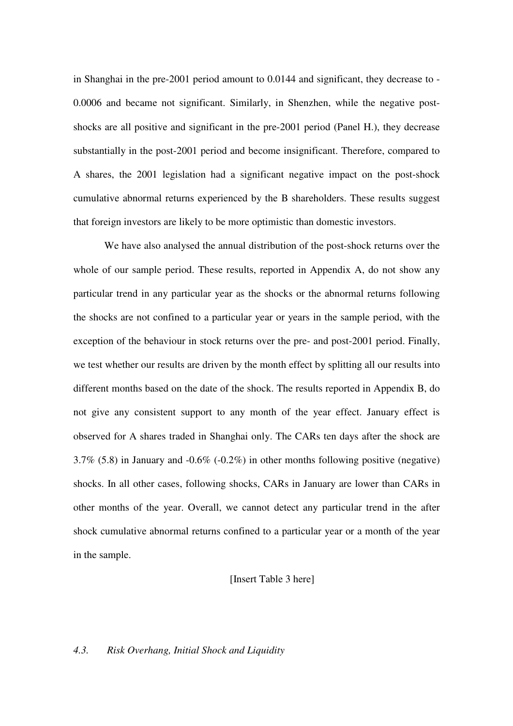in Shanghai in the pre-2001 period amount to 0.0144 and significant, they decrease to - 0.0006 and became not significant. Similarly, in Shenzhen, while the negative postshocks are all positive and significant in the pre-2001 period (Panel H.), they decrease substantially in the post-2001 period and become insignificant. Therefore, compared to A shares, the 2001 legislation had a significant negative impact on the post-shock cumulative abnormal returns experienced by the B shareholders. These results suggest that foreign investors are likely to be more optimistic than domestic investors.

We have also analysed the annual distribution of the post-shock returns over the whole of our sample period. These results, reported in Appendix A, do not show any particular trend in any particular year as the shocks or the abnormal returns following the shocks are not confined to a particular year or years in the sample period, with the exception of the behaviour in stock returns over the pre- and post-2001 period. Finally, we test whether our results are driven by the month effect by splitting all our results into different months based on the date of the shock. The results reported in Appendix B, do not give any consistent support to any month of the year effect. January effect is observed for A shares traded in Shanghai only. The CARs ten days after the shock are 3.7% (5.8) in January and -0.6% (-0.2%) in other months following positive (negative) shocks. In all other cases, following shocks, CARs in January are lower than CARs in other months of the year. Overall, we cannot detect any particular trend in the after shock cumulative abnormal returns confined to a particular year or a month of the year in the sample.

#### [Insert Table 3 here]

#### *4.3. Risk Overhang, Initial Shock and Liquidity*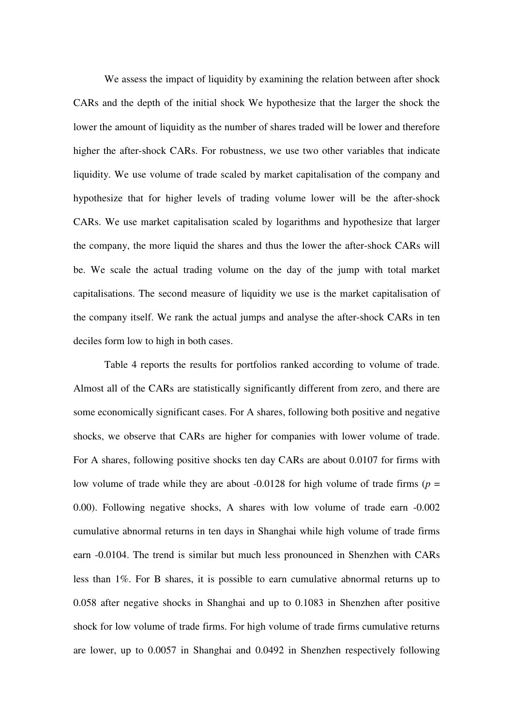We assess the impact of liquidity by examining the relation between after shock CARs and the depth of the initial shock We hypothesize that the larger the shock the lower the amount of liquidity as the number of shares traded will be lower and therefore higher the after-shock CARs. For robustness, we use two other variables that indicate liquidity. We use volume of trade scaled by market capitalisation of the company and hypothesize that for higher levels of trading volume lower will be the after-shock CARs. We use market capitalisation scaled by logarithms and hypothesize that larger the company, the more liquid the shares and thus the lower the after-shock CARs will be. We scale the actual trading volume on the day of the jump with total market capitalisations. The second measure of liquidity we use is the market capitalisation of the company itself. We rank the actual jumps and analyse the after-shock CARs in ten deciles form low to high in both cases.

Table 4 reports the results for portfolios ranked according to volume of trade. Almost all of the CARs are statistically significantly different from zero, and there are some economically significant cases. For A shares, following both positive and negative shocks, we observe that CARs are higher for companies with lower volume of trade. For A shares, following positive shocks ten day CARs are about 0.0107 for firms with low volume of trade while they are about  $-0.0128$  for high volume of trade firms ( $p =$ 0.00). Following negative shocks, A shares with low volume of trade earn -0.002 cumulative abnormal returns in ten days in Shanghai while high volume of trade firms earn -0.0104. The trend is similar but much less pronounced in Shenzhen with CARs less than 1%. For B shares, it is possible to earn cumulative abnormal returns up to 0.058 after negative shocks in Shanghai and up to 0.1083 in Shenzhen after positive shock for low volume of trade firms. For high volume of trade firms cumulative returns are lower, up to 0.0057 in Shanghai and 0.0492 in Shenzhen respectively following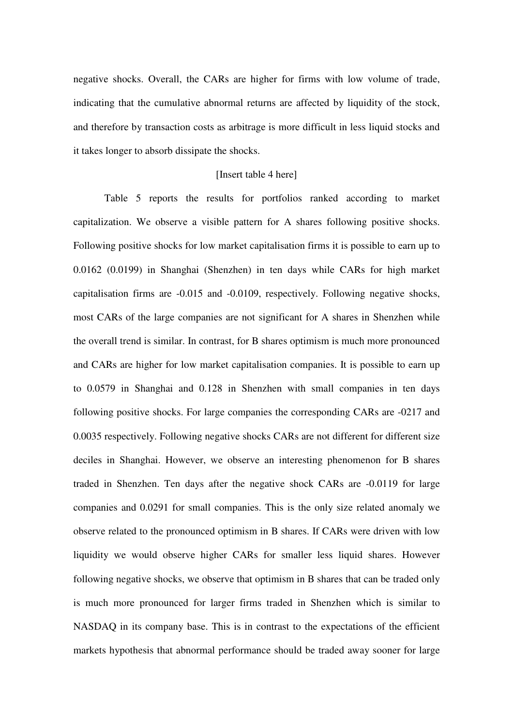negative shocks. Overall, the CARs are higher for firms with low volume of trade, indicating that the cumulative abnormal returns are affected by liquidity of the stock, and therefore by transaction costs as arbitrage is more difficult in less liquid stocks and it takes longer to absorb dissipate the shocks.

#### [Insert table 4 here]

Table 5 reports the results for portfolios ranked according to market capitalization. We observe a visible pattern for A shares following positive shocks. Following positive shocks for low market capitalisation firms it is possible to earn up to 0.0162 (0.0199) in Shanghai (Shenzhen) in ten days while CARs for high market capitalisation firms are -0.015 and -0.0109, respectively. Following negative shocks, most CARs of the large companies are not significant for A shares in Shenzhen while the overall trend is similar. In contrast, for B shares optimism is much more pronounced and CARs are higher for low market capitalisation companies. It is possible to earn up to 0.0579 in Shanghai and 0.128 in Shenzhen with small companies in ten days following positive shocks. For large companies the corresponding CARs are -0217 and 0.0035 respectively. Following negative shocks CARs are not different for different size deciles in Shanghai. However, we observe an interesting phenomenon for B shares traded in Shenzhen. Ten days after the negative shock CARs are -0.0119 for large companies and 0.0291 for small companies. This is the only size related anomaly we observe related to the pronounced optimism in B shares. If CARs were driven with low liquidity we would observe higher CARs for smaller less liquid shares. However following negative shocks, we observe that optimism in B shares that can be traded only is much more pronounced for larger firms traded in Shenzhen which is similar to NASDAQ in its company base. This is in contrast to the expectations of the efficient markets hypothesis that abnormal performance should be traded away sooner for large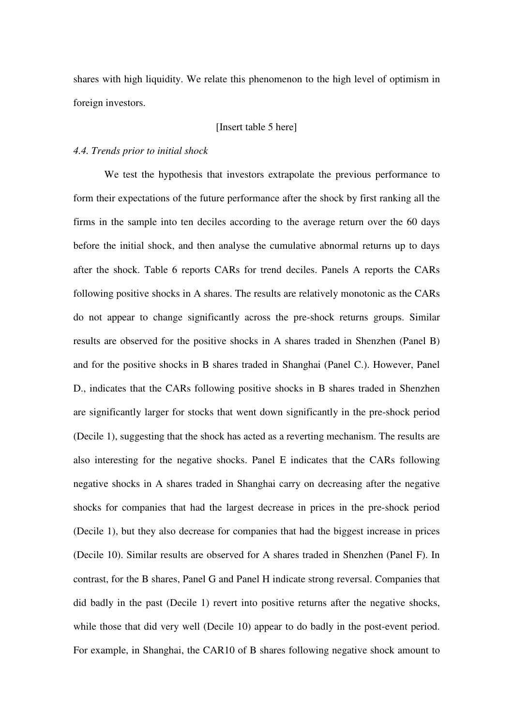shares with high liquidity. We relate this phenomenon to the high level of optimism in foreign investors.

#### [Insert table 5 here]

#### *4.4. Trends prior to initial shock*

We test the hypothesis that investors extrapolate the previous performance to form their expectations of the future performance after the shock by first ranking all the firms in the sample into ten deciles according to the average return over the 60 days before the initial shock, and then analyse the cumulative abnormal returns up to days after the shock. Table 6 reports CARs for trend deciles. Panels A reports the CARs following positive shocks in A shares. The results are relatively monotonic as the CARs do not appear to change significantly across the pre-shock returns groups. Similar results are observed for the positive shocks in A shares traded in Shenzhen (Panel B) and for the positive shocks in B shares traded in Shanghai (Panel C.). However, Panel D., indicates that the CARs following positive shocks in B shares traded in Shenzhen are significantly larger for stocks that went down significantly in the pre-shock period (Decile 1), suggesting that the shock has acted as a reverting mechanism. The results are also interesting for the negative shocks. Panel E indicates that the CARs following negative shocks in A shares traded in Shanghai carry on decreasing after the negative shocks for companies that had the largest decrease in prices in the pre-shock period (Decile 1), but they also decrease for companies that had the biggest increase in prices (Decile 10). Similar results are observed for A shares traded in Shenzhen (Panel F). In contrast, for the B shares, Panel G and Panel H indicate strong reversal. Companies that did badly in the past (Decile 1) revert into positive returns after the negative shocks, while those that did very well (Decile 10) appear to do badly in the post-event period. For example, in Shanghai, the CAR10 of B shares following negative shock amount to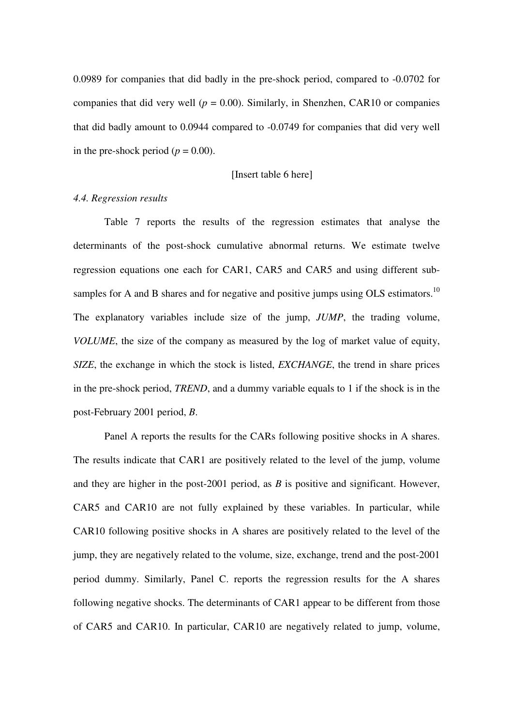0.0989 for companies that did badly in the pre-shock period, compared to -0.0702 for companies that did very well ( $p = 0.00$ ). Similarly, in Shenzhen, CAR10 or companies that did badly amount to 0.0944 compared to -0.0749 for companies that did very well in the pre-shock period ( $p = 0.00$ ).

#### [Insert table 6 here]

#### *4.4. Regression results*

Table 7 reports the results of the regression estimates that analyse the determinants of the post-shock cumulative abnormal returns. We estimate twelve regression equations one each for CAR1, CAR5 and CAR5 and using different subsamples for A and B shares and for negative and positive jumps using OLS estimators.<sup>10</sup> The explanatory variables include size of the jump, *JUMP*, the trading volume, *VOLUME*, the size of the company as measured by the log of market value of equity, *SIZE*, the exchange in which the stock is listed, *EXCHANGE*, the trend in share prices in the pre-shock period, *TREND*, and a dummy variable equals to 1 if the shock is in the post-February 2001 period, *B*.

Panel A reports the results for the CARs following positive shocks in A shares. The results indicate that CAR1 are positively related to the level of the jump, volume and they are higher in the post-2001 period, as *B* is positive and significant. However, CAR5 and CAR10 are not fully explained by these variables. In particular, while CAR10 following positive shocks in A shares are positively related to the level of the jump, they are negatively related to the volume, size, exchange, trend and the post-2001 period dummy. Similarly, Panel C. reports the regression results for the A shares following negative shocks. The determinants of CAR1 appear to be different from those of CAR5 and CAR10. In particular, CAR10 are negatively related to jump, volume,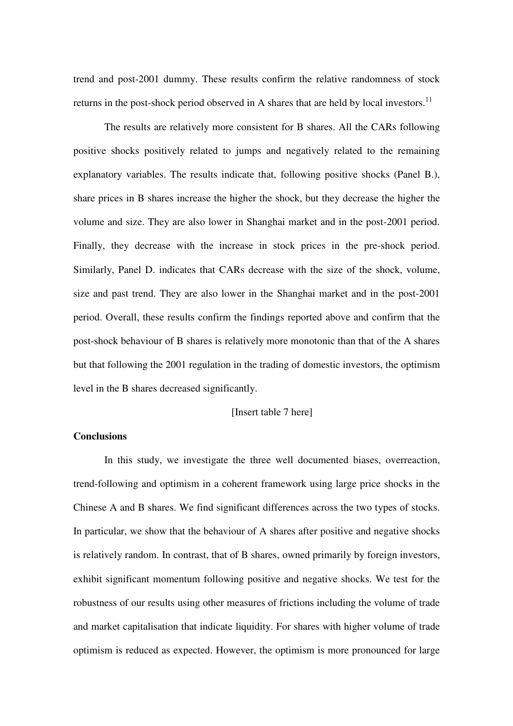trend and post-2001 dummy. These results confirm the relative randomness of stock returns in the post-shock period observed in A shares that are held by local investors.<sup>11</sup>

The results are relatively more consistent for B shares. All the CARs following positive shocks positively related to jumps and negatively related to the remaining explanatory variables. The results indicate that, following positive shocks (Panel B.), share prices in B shares increase the higher the shock, but they decrease the higher the volume and size. They are also lower in Shanghai market and in the post-2001 period. Finally, they decrease with the increase in stock prices in the pre-shock period. Similarly, Panel D. indicates that CARs decrease with the size of the shock, volume, size and past trend. They are also lower in the Shanghai market and in the post-2001 period. Overall, these results confirm the findings reported above and confirm that the post-shock behaviour of B shares is relatively more monotonic than that of the A shares but that following the 2001 regulation in the trading of domestic investors, the optimism level in the B shares decreased significantly.

#### [Insert table 7 here]

#### **Conclusions**

In this study, we investigate the three well documented biases, overreaction, trend-following and optimism in a coherent framework using large price shocks in the Chinese A and B shares. We find significant differences across the two types of stocks. In particular, we show that the behaviour of A shares after positive and negative shocks is relatively random. In contrast, that of B shares, owned primarily by foreign investors, exhibit significant momentum following positive and negative shocks. We test for the robustness of our results using other measures of frictions including the volume of trade and market capitalisation that indicate liquidity. For shares with higher volume of trade optimism is reduced as expected. However, the optimism is more pronounced for large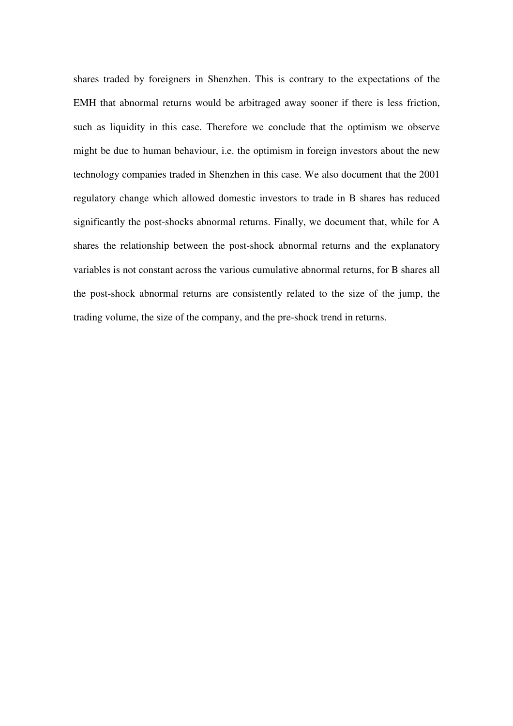shares traded by foreigners in Shenzhen. This is contrary to the expectations of the EMH that abnormal returns would be arbitraged away sooner if there is less friction, such as liquidity in this case. Therefore we conclude that the optimism we observe might be due to human behaviour, i.e. the optimism in foreign investors about the new technology companies traded in Shenzhen in this case. We also document that the 2001 regulatory change which allowed domestic investors to trade in B shares has reduced significantly the post-shocks abnormal returns. Finally, we document that, while for A shares the relationship between the post-shock abnormal returns and the explanatory variables is not constant across the various cumulative abnormal returns, for B shares all the post-shock abnormal returns are consistently related to the size of the jump, the trading volume, the size of the company, and the pre-shock trend in returns.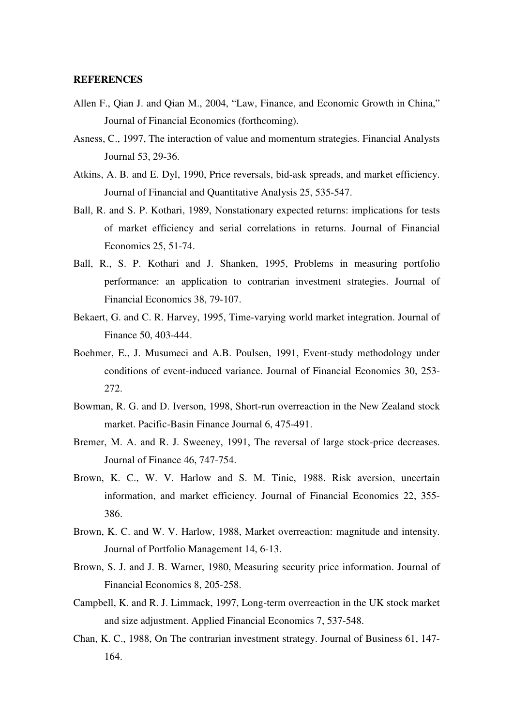#### **REFERENCES**

- Allen F., Qian J. and Qian M., 2004, "Law, Finance, and Economic Growth in China," Journal of Financial Economics (forthcoming).
- Asness, C., 1997, The interaction of value and momentum strategies. Financial Analysts Journal 53, 29-36.
- Atkins, A. B. and E. Dyl, 1990, Price reversals, bid-ask spreads, and market efficiency. Journal of Financial and Quantitative Analysis 25, 535-547.
- Ball, R. and S. P. Kothari, 1989, Nonstationary expected returns: implications for tests of market efficiency and serial correlations in returns. Journal of Financial Economics 25, 51-74.
- Ball, R., S. P. Kothari and J. Shanken, 1995, Problems in measuring portfolio performance: an application to contrarian investment strategies. Journal of Financial Economics 38, 79-107.
- Bekaert, G. and C. R. Harvey, 1995, Time-varying world market integration. Journal of Finance 50, 403-444.
- Boehmer, E., J. Musumeci and A.B. Poulsen, 1991, Event-study methodology under conditions of event-induced variance. Journal of Financial Economics 30, 253- 272.
- Bowman, R. G. and D. Iverson, 1998, Short-run overreaction in the New Zealand stock market. Pacific-Basin Finance Journal 6, 475-491.
- Bremer, M. A. and R. J. Sweeney, 1991, The reversal of large stock-price decreases. Journal of Finance 46, 747-754.
- Brown, K. C., W. V. Harlow and S. M. Tinic, 1988. Risk aversion, uncertain information, and market efficiency. Journal of Financial Economics 22, 355- 386.
- Brown, K. C. and W. V. Harlow, 1988, Market overreaction: magnitude and intensity. Journal of Portfolio Management 14, 6-13.
- Brown, S. J. and J. B. Warner, 1980, Measuring security price information. Journal of Financial Economics 8, 205-258.
- Campbell, K. and R. J. Limmack, 1997, Long-term overreaction in the UK stock market and size adjustment. Applied Financial Economics 7, 537-548.
- Chan, K. C., 1988, On The contrarian investment strategy. Journal of Business 61, 147- 164.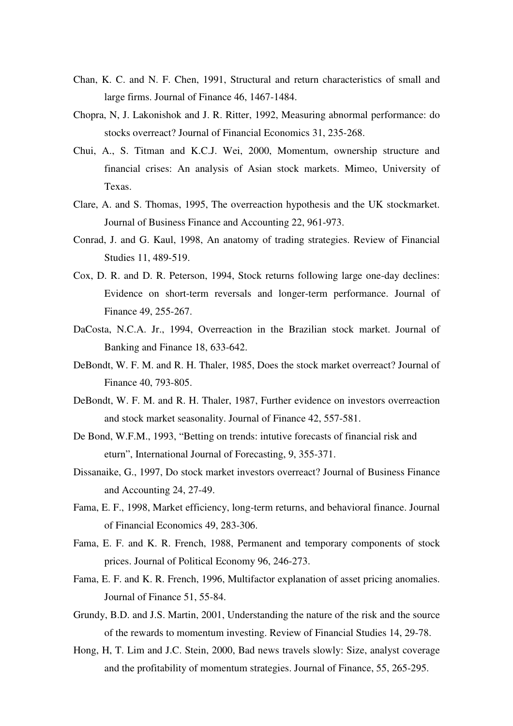- Chan, K. C. and N. F. Chen, 1991, Structural and return characteristics of small and large firms. Journal of Finance 46, 1467-1484.
- Chopra, N, J. Lakonishok and J. R. Ritter, 1992, Measuring abnormal performance: do stocks overreact? Journal of Financial Economics 31, 235-268.
- Chui, A., S. Titman and K.C.J. Wei, 2000, Momentum, ownership structure and financial crises: An analysis of Asian stock markets. Mimeo, University of Texas.
- Clare, A. and S. Thomas, 1995, The overreaction hypothesis and the UK stockmarket. Journal of Business Finance and Accounting 22, 961-973.
- Conrad, J. and G. Kaul, 1998, An anatomy of trading strategies. Review of Financial Studies 11, 489-519.
- Cox, D. R. and D. R. Peterson, 1994, Stock returns following large one-day declines: Evidence on short-term reversals and longer-term performance. Journal of Finance 49, 255-267.
- DaCosta, N.C.A. Jr., 1994, Overreaction in the Brazilian stock market. Journal of Banking and Finance 18, 633-642.
- DeBondt, W. F. M. and R. H. Thaler, 1985, Does the stock market overreact? Journal of Finance 40, 793-805.
- DeBondt, W. F. M. and R. H. Thaler, 1987, Further evidence on investors overreaction and stock market seasonality. Journal of Finance 42, 557-581.
- De Bond, W.F.M., 1993, "Betting on trends: intutive forecasts of financial risk and eturn", International Journal of Forecasting, 9, 355-371.
- Dissanaike, G., 1997, Do stock market investors overreact? Journal of Business Finance and Accounting 24, 27-49.
- Fama, E. F., 1998, Market efficiency, long-term returns, and behavioral finance. Journal of Financial Economics 49, 283-306.
- Fama, E. F. and K. R. French, 1988, Permanent and temporary components of stock prices. Journal of Political Economy 96, 246-273.
- Fama, E. F. and K. R. French, 1996, Multifactor explanation of asset pricing anomalies. Journal of Finance 51, 55-84.
- Grundy, B.D. and J.S. Martin, 2001, Understanding the nature of the risk and the source of the rewards to momentum investing. Review of Financial Studies 14, 29-78.
- Hong, H, T. Lim and J.C. Stein, 2000, Bad news travels slowly: Size, analyst coverage and the profitability of momentum strategies. Journal of Finance, 55, 265-295.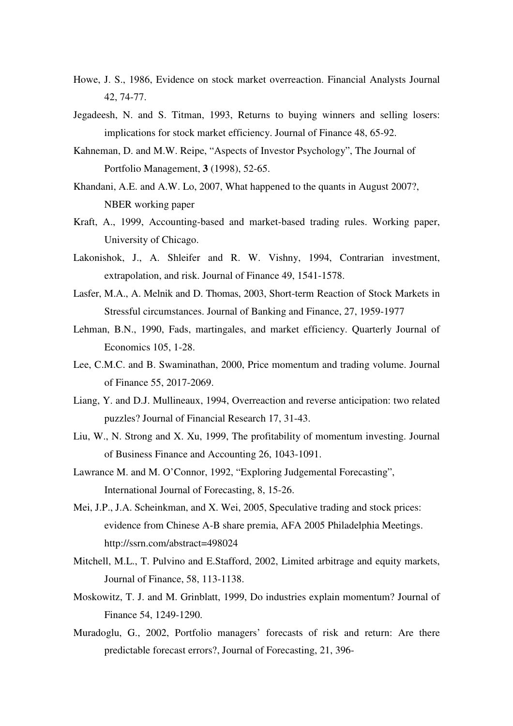- Howe, J. S., 1986, Evidence on stock market overreaction. Financial Analysts Journal 42, 74-77.
- Jegadeesh, N. and S. Titman, 1993, Returns to buying winners and selling losers: implications for stock market efficiency. Journal of Finance 48, 65-92.
- Kahneman, D. and M.W. Reipe, "Aspects of Investor Psychology", The Journal of Portfolio Management, **3** (1998), 52-65.
- Khandani, A.E. and A.W. Lo, 2007, What happened to the quants in August 2007?, NBER working paper
- Kraft, A., 1999, Accounting-based and market-based trading rules. Working paper, University of Chicago.
- Lakonishok, J., A. Shleifer and R. W. Vishny, 1994, Contrarian investment, extrapolation, and risk. Journal of Finance 49, 1541-1578.
- Lasfer, M.A., A. Melnik and D. Thomas, 2003, Short-term Reaction of Stock Markets in Stressful circumstances. Journal of Banking and Finance, 27, 1959-1977
- Lehman, B.N., 1990, Fads, martingales, and market efficiency. Quarterly Journal of Economics 105, 1-28.
- Lee, C.M.C. and B. Swaminathan, 2000, Price momentum and trading volume. Journal of Finance 55, 2017-2069.
- Liang, Y. and D.J. Mullineaux, 1994, Overreaction and reverse anticipation: two related puzzles? Journal of Financial Research 17, 31-43.
- Liu, W., N. Strong and X. Xu, 1999, The profitability of momentum investing. Journal of Business Finance and Accounting 26, 1043-1091.
- Lawrance M. and M. O'Connor, 1992, "Exploring Judgemental Forecasting", International Journal of Forecasting, 8, 15-26.
- Mei, J.P., J.A. Scheinkman, and X. Wei, 2005, Speculative trading and stock prices: evidence from Chinese A-B share premia, AFA 2005 Philadelphia Meetings. http://ssrn.com/abstract=498024
- Mitchell, M.L., T. Pulvino and E.Stafford, 2002, Limited arbitrage and equity markets, Journal of Finance, 58, 113-1138.
- Moskowitz, T. J. and M. Grinblatt, 1999, Do industries explain momentum? Journal of Finance 54, 1249-1290.
- Muradoglu, G., 2002, Portfolio managers' forecasts of risk and return: Are there predictable forecast errors?, Journal of Forecasting, 21, 396-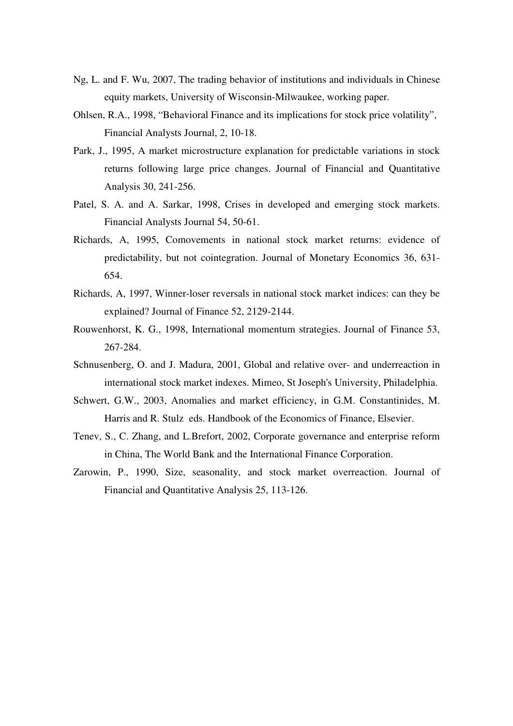- Ng, L. and F. Wu, 2007, The trading behavior of institutions and individuals in Chinese equity markets, University of Wisconsin-Milwaukee, working paper.
- Ohlsen, R.A., 1998, "Behavioral Finance and its implications for stock price volatility", Financial Analysts Journal, 2, 10-18.
- Park, J., 1995, A market microstructure explanation for predictable variations in stock returns following large price changes. Journal of Financial and Quantitative Analysis 30, 241-256.
- Patel, S. A. and A. Sarkar, 1998, Crises in developed and emerging stock markets. Financial Analysts Journal 54, 50-61.
- Richards, A, 1995, Comovements in national stock market returns: evidence of predictability, but not cointegration. Journal of Monetary Economics 36, 631- 654.
- Richards, A, 1997, Winner-loser reversals in national stock market indices: can they be explained? Journal of Finance 52, 2129-2144.
- Rouwenhorst, K. G., 1998, International momentum strategies. Journal of Finance 53, 267-284.
- Schnusenberg, O. and J. Madura, 2001, Global and relative over- and underreaction in international stock market indexes. Mimeo, St Joseph's University, Philadelphia.
- Schwert, G.W., 2003, Anomalies and market efficiency, in G.M. Constantinides, M. Harris and R. Stulz eds. Handbook of the Economics of Finance, Elsevier.
- Tenev, S., C. Zhang, and L.Brefort, 2002, Corporate governance and enterprise reform in China, The World Bank and the International Finance Corporation.
- Zarowin, P., 1990, Size, seasonality, and stock market overreaction. Journal of Financial and Quantitative Analysis 25, 113-126.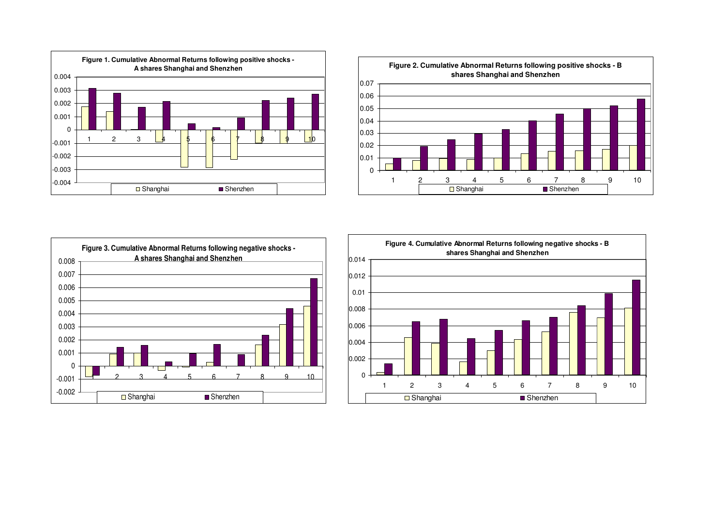





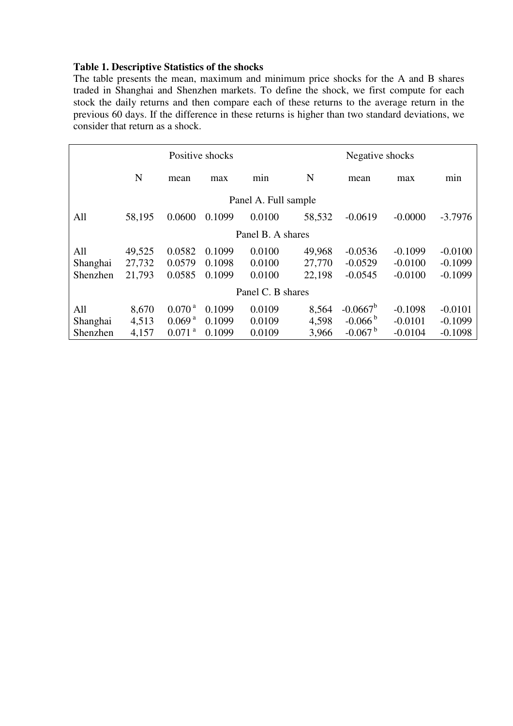# **Table 1. Descriptive Statistics of the shocks**

The table presents the mean, maximum and minimum price shocks for the A and B shares traded in Shanghai and Shenzhen markets. To define the shock, we first compute for each stock the daily returns and then compare each of these returns to the average return in the previous 60 days. If the difference in these returns is higher than two standard deviations, we consider that return as a shock.

|                      |        |                      | Positive shocks |                   | Negative shocks |                       |           |           |  |  |  |
|----------------------|--------|----------------------|-----------------|-------------------|-----------------|-----------------------|-----------|-----------|--|--|--|
|                      | N      | mean                 | min<br>max      |                   | N               | mean                  | max       | min       |  |  |  |
| Panel A. Full sample |        |                      |                 |                   |                 |                       |           |           |  |  |  |
| All                  | 58,195 | 0.0600               | 0.1099          | 0.0100            | 58,532          | $-0.0619$             | $-0.0000$ | $-3.7976$ |  |  |  |
| Panel B. A shares    |        |                      |                 |                   |                 |                       |           |           |  |  |  |
| All                  | 49,525 | 0.0582               | 0.1099          | 0.0100            | 49,968          | $-0.0536$             | $-0.1099$ | $-0.0100$ |  |  |  |
| Shanghai             | 27,732 | 0.0579               | 0.1098          | 0.0100            | 27,770          | $-0.0529$             | $-0.0100$ | $-0.1099$ |  |  |  |
| Shenzhen             | 21,793 | 0.0585               | 0.1099          | 0.0100            | 22,198          | $-0.0545$             | $-0.0100$ | $-0.1099$ |  |  |  |
|                      |        |                      |                 | Panel C. B shares |                 |                       |           |           |  |  |  |
| All                  | 8,670  | 0.070 <sup>a</sup>   | 0.1099          | 0.0109            | 8,564           | $-0.0667^b$           | $-0.1098$ | $-0.0101$ |  |  |  |
| Shanghai             | 4,513  | 0.069 <sup>a</sup>   | 0.1099          | 0.0109            | 4,598           | $-0.066^{b}$          | $-0.0101$ | $-0.1099$ |  |  |  |
| Shenzhen             | 4,157  | $0.071$ <sup>a</sup> | 0.1099          | 0.0109            | 3,966           | $-0.067$ <sup>b</sup> | $-0.0104$ | $-0.1098$ |  |  |  |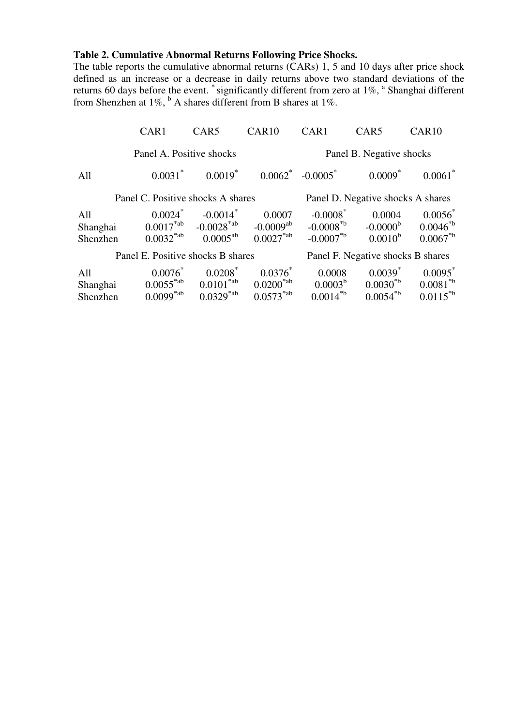#### **Table 2. Cumulative Abnormal Returns Following Price Shocks.**

The table reports the cumulative abnormal returns (CARs) 1, 5 and 10 days after price shock defined as an increase or a decrease in daily returns above two standard deviations of the returns 60 days before the event. \* significantly different from zero at  $1\%$ ,  $^{\circ}$  Shanghai different from Shenzhen at  $1\%$ ,  $\frac{b}{b}$  A shares different from B shares at  $1\%$ .

|          | CAR1                              | CAR <sub>5</sub>                                            | CAR <sub>10</sub>                 | CAR1                              | CAR <sub>5</sub>      | CAR <sub>10</sub> |  |  |  |
|----------|-----------------------------------|-------------------------------------------------------------|-----------------------------------|-----------------------------------|-----------------------|-------------------|--|--|--|
|          | Panel A. Positive shocks          |                                                             |                                   | Panel B. Negative shocks          |                       |                   |  |  |  |
| All      | $0.0031^*$                        |                                                             | $0.0019^*$ $0.0062^*$ $-0.0005^*$ |                                   | $0.0009$ <sup>*</sup> | $0.0061^*$        |  |  |  |
|          | Panel C. Positive shocks A shares |                                                             |                                   | Panel D. Negative shocks A shares |                       |                   |  |  |  |
| All      |                                   | $0.0024^*$ -0.0014 <sup>*</sup>                             | 0.0007                            | $-0.0008$ <sup>*</sup>            | 0.0004                | $0.0056^*$        |  |  |  |
| Shanghai |                                   | $0.0017^{*ab}$ -0.0028 <sup>*ab</sup> -0.0009 <sup>ab</sup> |                                   | $-0.0008^{*b}$                    | $-0.0000b$            | $0.0046^{*b}$     |  |  |  |
| Shenzhen | $0.0032^{*ab}$                    | $0.0005^{ab}$                                               | $0.0027^{*ab}$                    | $-0.0007^*$                       | $0.0010^{b}$          | $0.0067^*$        |  |  |  |
|          | Panel E. Positive shocks B shares |                                                             |                                   | Panel F. Negative shocks B shares |                       |                   |  |  |  |
| All      | $0.0076^*$                        | $0.0208^*$                                                  | $0.0376^*$                        | 0.0008                            | $0.0039^*$            | $0.0095^*$        |  |  |  |
| Shanghai | $0.0055^{\text{*ab}}$             |                                                             | $0.0101^{*ab}$ $0.0200^{*ab}$     | $0.0003^b$                        | $0.0030^{*b}$         | $0.0081^{*b}$     |  |  |  |
| Shenzhen | $0.0099^{*ab}$                    | $0.0329^{*ab}$                                              | $0.0573^{\text{*ab}}$             | $0.0014^{*b}$                     | $0.0054^{*b}$         | $0.0115^{*b}$     |  |  |  |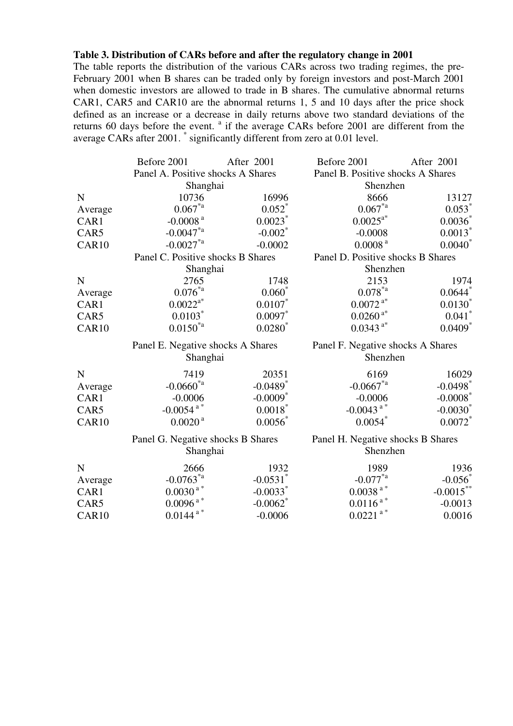#### **Table 3. Distribution of CARs before and after the regulatory change in 2001**

The table reports the distribution of the various CARs across two trading regimes, the pre-February 2001 when B shares can be traded only by foreign investors and post-March 2001 when domestic investors are allowed to trade in B shares. The cumulative abnormal returns CAR1, CAR5 and CAR10 are the abnormal returns 1, 5 and 10 days after the price shock defined as an increase or a decrease in daily returns above two standard deviations of the returns 60 days before the event.  $a$  if the average CARs before 2001 are different from the average CARs after 2001. \* significantly different from zero at 0.01 level.

|         | Before 2001                       | After 2001             | Before 2001                           |                                   |  |  |  |
|---------|-----------------------------------|------------------------|---------------------------------------|-----------------------------------|--|--|--|
|         | Panel A. Positive shocks A Shares |                        |                                       | Panel B. Positive shocks A Shares |  |  |  |
|         | Shanghai                          |                        | Shenzhen                              |                                   |  |  |  |
| N       | 10736                             | 16996                  | 8666                                  | 13127                             |  |  |  |
| Average | $0.067^{*a}$                      | $0.052$ *              | $0.067^{*a}$                          | 0.053                             |  |  |  |
| CAR1    | -0.0008 $^{\rm a}$                | 0.0023                 | $0.0025^{a*}$                         | $0.0036^*$                        |  |  |  |
| CAR5    | $-0.0047$ <sup>*a</sup>           | $-0.002$ <sup>*</sup>  | $-0.0008$                             | $0.0013$ <sup>*</sup>             |  |  |  |
| CAR10   | $-0.0027$ <sup>*a</sup>           | $-0.0002$              | 0.0008 <sup>a</sup>                   | 0.0040                            |  |  |  |
|         | Panel C. Positive shocks B Shares |                        | Panel D. Positive shocks B Shares     |                                   |  |  |  |
|         | Shanghai                          |                        | Shenzhen                              |                                   |  |  |  |
| N       | 2765                              | 1748                   | 2153                                  | 1974                              |  |  |  |
| Average | $0.076^{\ast_{\rm a}}$            | $0.060^*$              | $0.078^{\textcolor{red}{*}a}$         | $0.0644$ <sup>*</sup>             |  |  |  |
| CAR1    | $0.0022^{a*}$                     | $0.0107$ *             | $0.0072$ $^{\mathrm{a} *}$            | $0.0130^*$                        |  |  |  |
| CAR5    | $0.0103$ <sup>*</sup>             | $0.0097$ *             | $0.0260$ <sup>a*</sup>                | $0.041$ <sup>*</sup>              |  |  |  |
| CAR10   | $0.0150^{*a}$                     | $0.0280^{*}$           | $0.0343$ <sup>a*</sup>                | $0.0409$ <sup>*</sup>             |  |  |  |
|         | Panel E. Negative shocks A Shares |                        | Panel F. Negative shocks A Shares     |                                   |  |  |  |
|         | Shanghai                          |                        | Shenzhen                              |                                   |  |  |  |
| N       | 7419                              | 20351                  | 6169                                  | 16029                             |  |  |  |
| Average | $-0.0660^{*a}$                    | $-0.0489$ <sup>*</sup> | $-0.0667^{*a}$                        | $-0.0498$ <sup>*</sup>            |  |  |  |
| CAR1    | $-0.0006$                         | $-0.0009$ <sup>*</sup> | $-0.0006$                             | $-0.0008$                         |  |  |  |
| CAR5    | $-0.0054$ <sup>a*</sup>           | $0.0018$ *             | $-0.0043$ <sup>a*</sup>               | $-0.0030^*$                       |  |  |  |
| CAR10   | 0.0020 <sup>a</sup>               | $0.0056^*$             | $0.0054$ *                            | $0.0072$ <sup>*</sup>             |  |  |  |
|         | Panel G. Negative shocks B Shares |                        | Panel H. Negative shocks B Shares     |                                   |  |  |  |
|         | Shanghai                          |                        | Shenzhen                              |                                   |  |  |  |
| N       | 2666                              | 1932                   | 1989                                  | 1936                              |  |  |  |
| Average | $-0.0763^{*a}$                    | $-0.0531$ <sup>*</sup> | $\textbf{-0.077}^{\ast_{\textbf{a}}}$ | $-0.056$                          |  |  |  |
| CAR1    | $0.0030$ $^{\mathrm{a} \, *}$     | $-0.0033$ <sup>*</sup> | $0.0038$ <sup>a*</sup>                | $-0.0015***$                      |  |  |  |
| CAR5    | $0.0096$ $^{\mathrm{a} \, *}$     | $-0.0062$ <sup>*</sup> | $0.0116$ $^{\mathrm{a} \, *}$         | $-0.0013$                         |  |  |  |
| CAR10   | $0.0144$ $^{\mathrm{a} \, *}$     | $-0.0006$              | $0.0221$ <sup>a*</sup>                | 0.0016                            |  |  |  |
|         |                                   |                        |                                       |                                   |  |  |  |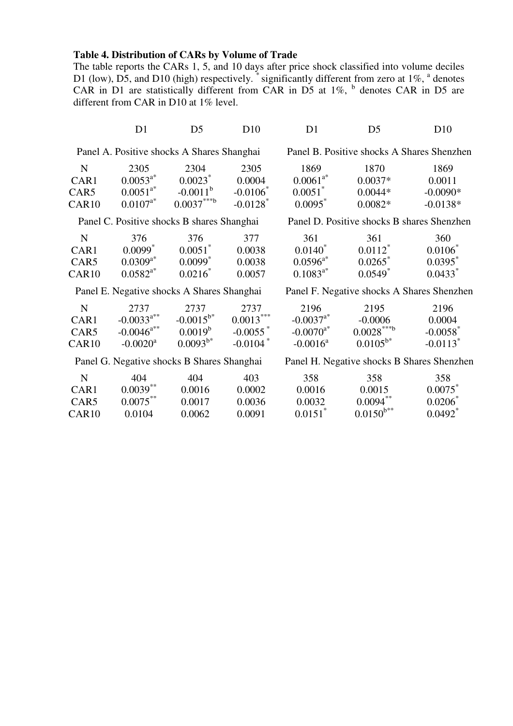#### **Table 4. Distribution of CARs by Volume of Trade**

The table reports the CARs 1, 5, and 10 days after price shock classified into volume deciles D1 (low), D5, and D10 (high) respectively.  $\check{\,}$  significantly different from zero at 1%,  $\check{\,}$  denotes CAR in D1 are statistically different from CAR in D5 at  $1\%$ ,  $\frac{b}{c}$  denotes CAR in D5 are different from CAR in D10 at 1% level.

|                   | D1            | D <sub>5</sub>                             | D10                    | D1            | D <sub>5</sub>                             | D10                                        |
|-------------------|---------------|--------------------------------------------|------------------------|---------------|--------------------------------------------|--------------------------------------------|
|                   |               | Panel A. Positive shocks A Shares Shanghai |                        |               |                                            | Panel B. Positive shocks A Shares Shenzhen |
| N                 | 2305          | 2304                                       | 2305                   | 1869          | 1870                                       | 1869                                       |
| CAR1              | $0.0053^{a*}$ | $0.0023$ <sup>*</sup>                      | 0.0004                 | $0.0061^{a*}$ | $0.0037*$                                  | 0.0011                                     |
| CAR5              | $0.0051^{a*}$ | $-0.0011^b$                                | $-0.0106$              | $0.0051^*$    | $0.0044*$                                  | $-0.0090*$                                 |
| CAR <sub>10</sub> | $0.0107^{a*}$ | $0.0037***b$                               | $-0.0128$ <sup>*</sup> | 0.0095        | $0.0082*$                                  | $-0.0138*$                                 |
|                   |               | Panel C. Positive shocks B shares Shanghai |                        |               | Panel D. Positive shocks B shares Shenzhen |                                            |
| N                 | 376           | 376                                        | 377                    | 361           | 361                                        | 360                                        |

 $0.0140^{*}$ 

 $0.0596^{a*}$  0.0265<sup>\*</sup>

 $0.1083^{a*}$   $0.0549^{*}$ 

| IN.               | 27 O          | 27 D                  | $\left\lceil \frac{1}{2} \right\rceil$ |
|-------------------|---------------|-----------------------|----------------------------------------|
| CAR1              | $0.0099^*$    | $0.0051^*$            | 0.0038                                 |
| CAR5              | $0.0309^{a*}$ | $0.0099$ <sup>*</sup> | 0.0038                                 |
| CAR <sub>10</sub> | $0.0582^{a*}$ | $0.0216^*$            | 0.0057                                 |

Panel E. Negative shocks A Shares Shanghai Panel F. Negative shocks A Shares Shenzhen

0.0112\*

0.0106\*

 $0.0395$ <sup>\*</sup>

0.0433\*

| N                 | 2737                     | 2737           | 2737        | 2196                    | 2195          | 2196                   |
|-------------------|--------------------------|----------------|-------------|-------------------------|---------------|------------------------|
| CAR1              | $-0.0033^{a**}$          | $-0.0015^{b*}$ | $0.0013***$ | $-0.0037^{a*}$          | $-0.0006$     | 0.0004                 |
| CAR <sub>5</sub>  | $-0.0046$ <sup>a**</sup> | $0.0019^{b}$   | $-0.0055$   | $-0.0070$ <sup>a*</sup> | $0.0028***b$  | $-0.0058$ <sup>*</sup> |
| CAR <sub>10</sub> | $-0.0020$ <sup>a</sup>   | $0.0093^{b*}$  | $-0.0104$   | $-0.0016^a$             | $0.0105^{b*}$ | $-0.0113$ <sup>*</sup> |

Panel G. Negative shocks B Shares Shanghai Panel H. Negative shocks B Shares Shenzhen

| N                 | 404         | 404    | 403    | 358                   | 358            | 358                   |
|-------------------|-------------|--------|--------|-----------------------|----------------|-----------------------|
| CAR <sub>1</sub>  | $0.0039***$ | 0.0016 | 0.0002 | 0.0016                | 0.0015         | $0.0075^*$            |
| CAR <sub>5</sub>  | $0.0075***$ | 0.0017 | 0.0036 | 0.0032                | $0.0094***$    | $0.0206^*$            |
| CAR <sub>10</sub> | 0.0104      | 0.0062 | 0.0091 | $0.0151$ <sup>*</sup> | $0.0150^{b**}$ | $0.0492$ <sup>*</sup> |
|                   |             |        |        |                       |                |                       |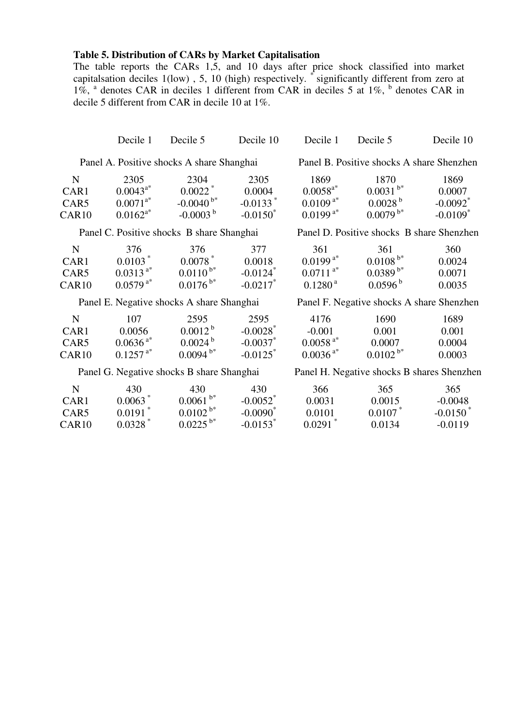### **Table 5. Distribution of CARs by Market Capitalisation**

The table reports the CARs 1,5, and 10 days after price shock classified into market capitalsation deciles 1(low) , 5, 10 (high) respectively. \* significantly different from zero at 1%, <sup>a</sup> denotes CAR in deciles 1 different from CAR in deciles 5 at 1%, <sup>b</sup> denotes CAR in decile 5 different from CAR in decile 10 at 1%.

|                                                  | Decile 1                                                       | Decile 5                                                           | Decile 10                                                               | Decile 1                                                             | Decile 5                                                                  | Decile 10                                                          |
|--------------------------------------------------|----------------------------------------------------------------|--------------------------------------------------------------------|-------------------------------------------------------------------------|----------------------------------------------------------------------|---------------------------------------------------------------------------|--------------------------------------------------------------------|
|                                                  |                                                                | Panel A. Positive shocks A share Shanghai                          |                                                                         |                                                                      | Panel B. Positive shocks A share Shenzhen                                 |                                                                    |
| $\mathbf N$<br>CAR1<br>CAR5<br>CAR <sub>10</sub> | 2305<br>$0.0043^{a*}$<br>$0.0071^{a*}$<br>$0.0162^{a*}$        | 2304<br>$0.0022$ <sup>*</sup><br>$-0.0040^{b*}$<br>$-0.0003b$      | 2305<br>0.0004<br>$-0.0133$ <sup>*</sup><br>$-0.0150^*$                 | 1869<br>$0.0058^{a*}$<br>$0.0109^{a*}$<br>$0.0199^{a*}$              | 1870<br>$0.0031$ $^{\mathrm{b}*}$<br>0.0028 <sup>b</sup><br>$0.0079^{b*}$ | 1869<br>0.0007<br>$-0.0092$ <sup>*</sup><br>$-0.0109$ <sup>*</sup> |
|                                                  |                                                                | Panel C. Positive shocks B share Shanghai                          |                                                                         |                                                                      | Panel D. Positive shocks B share Shenzhen                                 |                                                                    |
| $\mathbf N$<br>CAR1<br>CAR5<br>CAR <sub>10</sub> | 376<br>$0.0103$ <sup>*</sup><br>$0.0313^{a*}$<br>$0.0579^{a*}$ | 376<br>$0.0078$ <sup>*</sup><br>$0.0110^{b*}$<br>$0.0176^{b*}$     | 377<br>0.0018<br>$-0.0124$ <sup>*</sup><br>$-0.0217$ *                  | 361<br>$0.0199^{a*}$<br>$0.0711^{a*}$<br>0.1280 <sup>a</sup>         | 361<br>$0.0108^{b*}$<br>$0.0389^{b*}$<br>0.0596 <sup>b</sup>              | 360<br>0.0024<br>0.0071<br>0.0035                                  |
|                                                  |                                                                | Panel E. Negative shocks A share Shanghai                          |                                                                         |                                                                      | Panel F. Negative shocks A share Shenzhen                                 |                                                                    |
| ${\bf N}$<br>CAR1<br>CAR5<br>CAR <sub>10</sub>   | 107<br>0.0056<br>$0.0636^{a*}$<br>$0.1257^{a*}$                | 2595<br>$0.0012^{b}$<br>0.0024 <sup>b</sup><br>$0.0094^{b*}$       | 2595<br>$-0.0028$ <sup>*</sup><br>$-0.0037$ *<br>$-0.0125$ <sup>*</sup> | 4176<br>$-0.001$<br>$0.0058$ <sup>a*</sup><br>$0.0036$ <sup>a*</sup> | 1690<br>0.001<br>0.0007<br>$0.0102^{b*}$                                  | 1689<br>0.001<br>0.0004<br>0.0003                                  |
|                                                  |                                                                | Panel G. Negative shocks B share Shanghai                          |                                                                         |                                                                      | Panel H. Negative shocks B shares Shenzhen                                |                                                                    |
| ${\bf N}$<br>CAR1<br>CAR5<br>CAR <sub>10</sub>   | 430<br>$0.0063$ *<br>$0.0191$ <sup>*</sup><br>$0.0328*$        | 430<br>$0.0061$ $^{\mathrm{b}*}$<br>$0.0102^{b*}$<br>$0.0225^{b*}$ | 430<br>$-0.0052$ <sup>*</sup><br>$-0.0090^*$<br>$-0.0153$ <sup>*</sup>  | 366<br>0.0031<br>0.0101<br>$0.0291$ <sup>*</sup>                     | 365<br>0.0015<br>0.0107<br>0.0134                                         | 365<br>$-0.0048$<br>$-0.0150$ <sup>*</sup><br>$-0.0119$            |

0.0134 -0.0119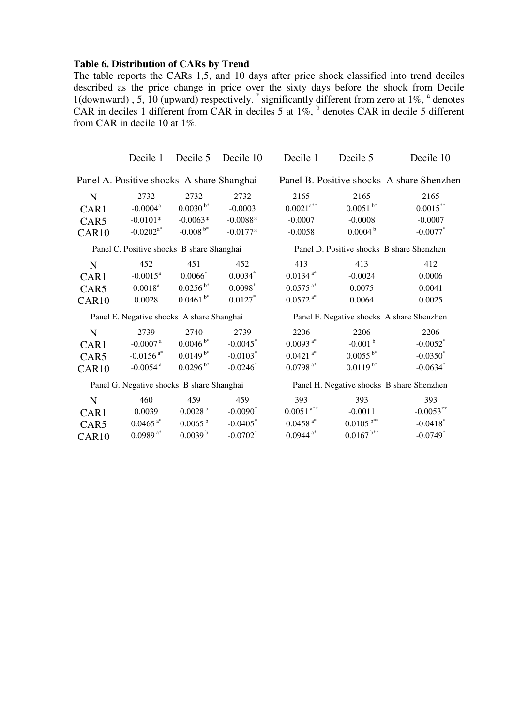#### **Table 6. Distribution of CARs by Trend**

The table reports the CARs 1,5, and 10 days after price shock classified into trend deciles described as the price change in price over the sixty days before the shock from Decile 1(downward), 5, 10 (upward) respectively.  $\degree$  significantly different from zero at 1%,  $\degree$  denotes CAR in deciles 1 different from CAR in deciles 5 at  $1\%$ ,  $\frac{b}{b}$  denotes CAR in decile 5 different from CAR in decile 10 at 1%.

|             | Decile 1                                  | Decile 5              | Decile 10              | Decile 1                                  | Decile 5                  | Decile 10                                 |  |  |  |
|-------------|-------------------------------------------|-----------------------|------------------------|-------------------------------------------|---------------------------|-------------------------------------------|--|--|--|
|             | Panel A. Positive shocks A share Shanghai |                       |                        | Panel B. Positive shocks A share Shenzhen |                           |                                           |  |  |  |
| $\mathbf N$ | 2732                                      | 2732                  | 2732                   | 2165                                      | 2165                      | 2165                                      |  |  |  |
| CAR1        | $-0.0004$ <sup>a</sup>                    | $0.0030^{b*}$         | $-0.0003$              | $0.0021^{a**}$                            | $0.0051^{b*}$             | $0.0015***$                               |  |  |  |
| CAR5        | $-0.0101*$                                | $-0.0063*$            | $-0.0088*$             | $-0.0007$                                 | $-0.0008$                 | $-0.0007$                                 |  |  |  |
| CAR10       | $-0.0202^{a*}$                            | $-0.008^{b*}$         | $-0.0177*$             | $-0.0058$                                 | 0.0004 <sup>b</sup>       | $-0.0077$                                 |  |  |  |
|             | Panel C. Positive shocks B share Shanghai |                       |                        |                                           |                           | Panel D. Positive shocks B share Shenzhen |  |  |  |
| $\mathbf N$ | 452                                       | 451                   | 452                    | 413                                       | 413                       | 412                                       |  |  |  |
| CAR1        | $-0.0015^a$                               | $0.0066*$             | $0.0034$ *             | $0.0134$ <sup>a*</sup>                    | $-0.0024$                 | 0.0006                                    |  |  |  |
| CAR5        | $0.0018^{a}$                              | $0.0256^{b*}$         | $0.0098$ <sup>*</sup>  | $0.0575$ <sup>a*</sup>                    | 0.0075                    | 0.0041                                    |  |  |  |
| CAR10       | 0.0028                                    | $0.0461^{b*}$         | $0.0127$ *             | $0.0572$ <sup>a*</sup>                    | 0.0064                    | 0.0025                                    |  |  |  |
|             | Panel E. Negative shocks A share Shanghai |                       |                        |                                           |                           | Panel F. Negative shocks A share Shenzhen |  |  |  |
| N           | 2739                                      | 2740                  | 2739                   | 2206                                      | 2206                      | 2206                                      |  |  |  |
| CAR1        | -0.0007 $^{\rm a}$                        | $0.0046^{b*}$         | $-0.0045$ <sup>*</sup> | $0.0093$ <sup>a*</sup>                    | $-0.001$ <sup>b</sup>     | $-0.0052$ <sup>*</sup>                    |  |  |  |
| CAR5        | $-0.0156$ <sup>a*</sup>                   | $0.0149^{b*}$         | $-0.0103$ <sup>*</sup> | $0.0421$ <sup>a*</sup>                    | $0.0055^{b*}$             | $-0.0350^*$                               |  |  |  |
| CAR10       | $-0.0054$ <sup>a</sup>                    | $0.0296^{b*}$         | $-0.0246$              | $0.0798$ $^{\mathrm{a} *}$                | $0.0119^{b*}$             | $-0.0634$ *                               |  |  |  |
|             | Panel G. Negative shocks B share Shanghai |                       |                        |                                           |                           | Panel H. Negative shocks B share Shenzhen |  |  |  |
| $\mathbf N$ | 460                                       | 459                   | 459                    | 393                                       | 393                       | 393                                       |  |  |  |
| CAR1        | 0.0039                                    | 0.0028 <sup>b</sup>   | $-0.0090$ <sup>*</sup> | $0.0051$ $^{\mathrm{a}**}$                | $-0.0011$                 | $-0.0053***$                              |  |  |  |
| CAR5        | $0.0465$ <sup>a*</sup>                    | $0.0065^{\mathrm{b}}$ | $-0.0405$              | $0.0458$ <sup>a*</sup>                    | $0.0105^{\,\mathrm{b}**}$ | $-0.0418$ <sup>*</sup>                    |  |  |  |
| CAR10       | $0.0989$ <sup>a*</sup>                    | $0.0039^{b}$          | $-0.0702$ <sup>*</sup> | $0.0944$ <sup>a*</sup>                    | $0.0167^{b**}$            | $-0.0749$ <sup>*</sup>                    |  |  |  |
|             |                                           |                       |                        |                                           |                           |                                           |  |  |  |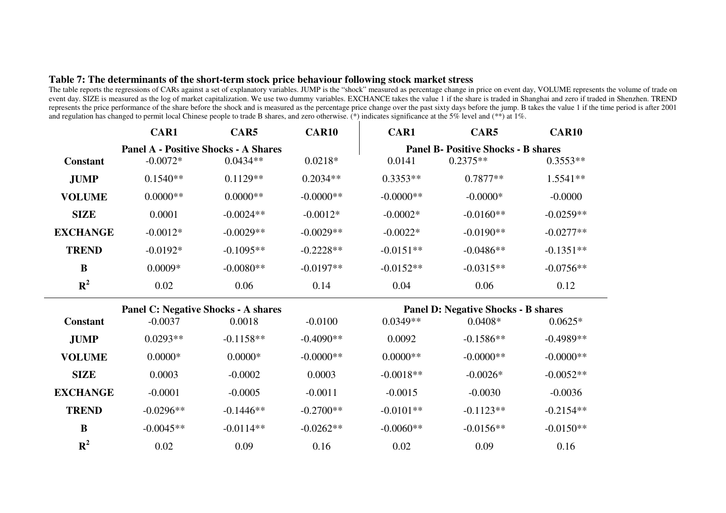#### **Table 7: The determinants of the short-term stock price behaviour following stock market stress**

The table reports the regressions of CARs against a set of explanatory variables. JUMP is the "shock" measured as percentage change in price on event day, VOLUME represents the volume of trade on event day. SIZE is measured as the log of market capitalization. We use two dummy variables. EXCHANCE takes the value 1 if the share is traded in Shanghai and zero if traded in Shenzhen. TREND represents the price performance of the share before the shock and is measured as the percentage price change over the past sixty days before the jump. B takes the value 1 if the time period is after 2001and regulation has changed to permit local Chinese people to trade B shares, and zero otherwise. (\*) indicates significance at the 5% level and (\*\*) at 1%.

|                 | CAR1                                        | CAR5        | <b>CAR10</b> | CAR1        | CAR5                                       | <b>CAR10</b> |
|-----------------|---------------------------------------------|-------------|--------------|-------------|--------------------------------------------|--------------|
|                 | <b>Panel A - Positive Shocks - A Shares</b> |             |              |             | <b>Panel B- Positive Shocks - B shares</b> |              |
| <b>Constant</b> | $-0.0072*$                                  | $0.0434**$  | $0.0218*$    | 0.0141      | $0.2375**$                                 | $0.3553**$   |
| <b>JUMP</b>     | $0.1540**$                                  | $0.1129**$  | $0.2034**$   | $0.3353**$  | $0.7877**$                                 | 1.5541**     |
| <b>VOLUME</b>   | $0.0000**$                                  | $0.0000**$  | $-0.0000**$  | $-0.0000**$ | $-0.0000*$                                 | $-0.0000$    |
| <b>SIZE</b>     | 0.0001                                      | $-0.0024**$ | $-0.0012*$   | $-0.0002*$  | $-0.0160**$                                | $-0.0259**$  |
| <b>EXCHANGE</b> | $-0.0012*$                                  | $-0.0029**$ | $-0.0029**$  | $-0.0022*$  | $-0.0190**$                                | $-0.0277**$  |
| <b>TREND</b>    | $-0.0192*$                                  | $-0.1095**$ | $-0.2228**$  | $-0.0151**$ | $-0.0486**$                                | $-0.1351**$  |
| $\bf{B}$        | $0.0009*$                                   | $-0.0080**$ | $-0.0197**$  | $-0.0152**$ | $-0.0315**$                                | $-0.0756**$  |
| $R^2$           | 0.02                                        | 0.06        | 0.14         | 0.04        | 0.06                                       | 0.12         |
|                 | <b>Panel C: Negative Shocks - A shares</b>  |             |              |             | <b>Panel D: Negative Shocks - B shares</b> |              |
| <b>Constant</b> | $-0.0037$                                   | 0.0018      | $-0.0100$    | $0.0349**$  | $0.0408*$                                  | $0.0625*$    |
| <b>JUMP</b>     | $0.0293**$                                  | $-0.1158**$ | $-0.4090**$  | 0.0092      | $-0.1586**$                                | $-0.4989**$  |
| <b>VOLUME</b>   | $0.0000*$                                   | $0.0000*$   | $-0.0000**$  | $0.0000**$  | $-0.0000**$                                | $-0.0000**$  |
| <b>SIZE</b>     | 0.0003                                      | $-0.0002$   | 0.0003       | $-0.0018**$ | $-0.0026*$                                 | $-0.0052**$  |
| <b>EXCHANGE</b> | $-0.0001$                                   | $-0.0005$   | $-0.0011$    | $-0.0015$   | $-0.0030$                                  | $-0.0036$    |
| <b>TREND</b>    | $-0.0296**$                                 | $-0.1446**$ | $-0.2700**$  | $-0.0101**$ | $-0.1123**$                                | $-0.2154**$  |
| $\bf{B}$        | $-0.0045**$                                 | $-0.0114**$ | $-0.0262**$  | $-0.0060**$ | $-0.0156**$                                | $-0.0150**$  |
| ${\bf R}^2$     | 0.02                                        | 0.09        | 0.16         | 0.02        | 0.09                                       | 0.16         |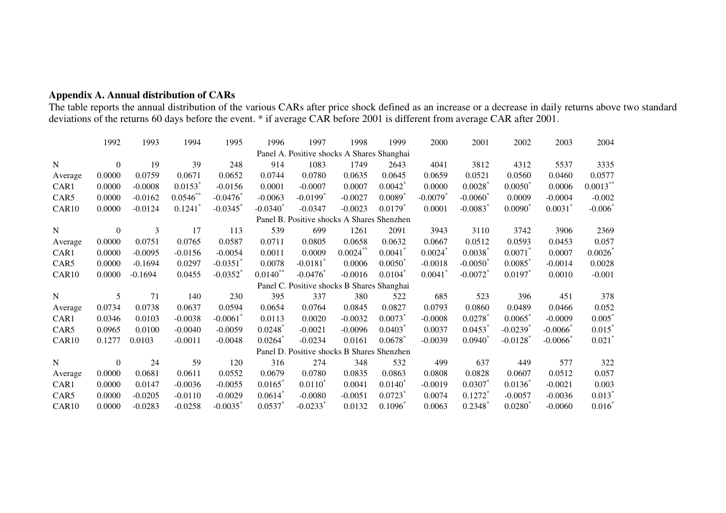## **Appendix A. Annual distribution of CARs**

The table reports the annual distribution of the various CARs after price shock defined as an increase or a decrease in daily returns above two standard deviations of the returns 60 days before the event. \* if average CAR

|         | 1992           | 1993      | 1994                  | 1995                   | 1996                  | 1997                                       | 1998      | 1999                  | 2000                   | 2001                   | 2002                   | 2003      | 2004                 |
|---------|----------------|-----------|-----------------------|------------------------|-----------------------|--------------------------------------------|-----------|-----------------------|------------------------|------------------------|------------------------|-----------|----------------------|
|         |                |           |                       |                        |                       | Panel A. Positive shocks A Shares Shanghai |           |                       |                        |                        |                        |           |                      |
| N       | $\overline{0}$ | 19        | 39                    | 248                    | 914                   | 1083                                       | 1749      | 2643                  | 4041                   | 3812                   | 4312                   | 5537      | 3335                 |
| Average | 0.0000         | 0.0759    | 0.0671                | 0.0652                 | 0.0744                | 0.0780                                     | 0.0635    | 0.0645                | 0.0659                 | 0.0521                 | 0.0560                 | 0.0460    | 0.0577               |
| CAR1    | 0.0000         | $-0.0008$ | $0.0153$ <sup>*</sup> | $-0.0156$              | 0.0001                | $-0.0007$                                  | 0.0007    | $0.0042^*$            | 0.0000                 | 0.0028                 | $0.0050^*$             | 0.0006    | $0.0013***$          |
| CAR5    | 0.0000         | $-0.0162$ | 0.0546                | $-0.0476$              | $-0.0063$             | $-0.0199$ <sup>*</sup>                     | $-0.0027$ | 0.0089                | $-0.0079$ <sup>*</sup> | $-0.0060^*$            | 0.0009                 | $-0.0004$ | $-0.002$             |
| CAR10   | 0.0000         | $-0.0124$ | $0.1241$ <sup>*</sup> | $-0.0345$              | $-0.0340^{*}$         | $-0.0347$                                  | $-0.0023$ | $0.0179$ <sup>*</sup> | 0.0001                 | $-0.0083$ <sup>*</sup> | $0.0090^*$             | 0.0031    | $-0.006$             |
|         |                |           |                       |                        |                       | Panel B. Positive shocks A Shares Shenzhen |           |                       |                        |                        |                        |           |                      |
| N       | $\overline{0}$ | 3         | 17                    | 113                    | 539                   | 699                                        | 1261      | 2091                  | 3943                   | 3110                   | 3742                   | 3906      | 2369                 |
| Average | 0.0000         | 0.0751    | 0.0765                | 0.0587                 | 0.0711                | 0.0805                                     | 0.0658    | 0.0632                | 0.0667                 | 0.0512                 | 0.0593                 | 0.0453    | 0.057                |
| CAR1    | 0.0000         | $-0.0095$ | $-0.0156$             | $-0.0054$              | 0.0011                | 0.0009                                     | 0.0024    | 0.0041                | 0.0024                 | 0.0038                 | 0.0071                 | 0.0007    | $0.0026^*$           |
| CAR5    | 0.0000         | $-0.1694$ | 0.0297                | $-0.0351$ <sup>*</sup> | 0.0078                | $-0.0181$ <sup>*</sup>                     | 0.0006    | $0.0050^*$            | $-0.0018$              | $-0.0050^*$            | 0.0085                 | $-0.0014$ | 0.0028               |
| CAR10   | 0.0000         | $-0.1694$ | 0.0455                | $-0.0352$ <sup>*</sup> | $0.0140$ **           | $-0.0476$                                  | $-0.0016$ | 0.0104                | 0.0041                 | $-0.0072$ <sup>*</sup> | $0.0197$ *             | 0.0010    | $-0.001$             |
|         |                |           |                       |                        |                       | Panel C. Positive shocks B Shares Shanghai |           |                       |                        |                        |                        |           |                      |
| N       | 5              | 71        | 140                   | 230                    | 395                   | 337                                        | 380       | 522                   | 685                    | 523                    | 396                    | 451       | 378                  |
| Average | 0.0734         | 0.0738    | 0.0637                | 0.0594                 | 0.0654                | 0.0764                                     | 0.0845    | 0.0827                | 0.0793                 | 0.0860                 | 0.0489                 | 0.0466    | 0.052                |
| CAR1    | 0.0346         | 0.0103    | $-0.0038$             | $-0.0061$ <sup>*</sup> | 0.0113                | 0.0020                                     | $-0.0032$ | 0.0073                | $-0.0008$              | 0.0278                 | 0.0065                 | $-0.0009$ | $0.005^*$            |
| CAR5    | 0.0965         | 0.0100    | $-0.0040$             | $-0.0059$              | 0.0248                | $-0.0021$                                  | $-0.0096$ | 0.0403                | 0.0037                 | 0.0453                 | $-0.0239$ <sup>*</sup> | $-0.0066$ | 0.015                |
| CAR10   | 0.1277         | 0.0103    | $-0.0011$             | $-0.0048$              | $0.0264$ <sup>*</sup> | $-0.0234$                                  | 0.0161    | 0.0678                | $-0.0039$              | $0.0940^{\degree}$     | $-0.0128$ <sup>*</sup> | $-0.0066$ | $0.021^{\degree}$    |
|         |                |           |                       |                        |                       | Panel D. Positive shocks B Shares Shenzhen |           |                       |                        |                        |                        |           |                      |
| N       | $\theta$       | 24        | 59                    | 120                    | 316                   | 274                                        | 348       | 532                   | 499                    | 637                    | 449                    | 577       | 322                  |
| Average | 0.0000         | 0.0681    | 0.0611                | 0.0552                 | 0.0679                | 0.0780                                     | 0.0835    | 0.0863                | 0.0808                 | 0.0828                 | 0.0607                 | 0.0512    | 0.057                |
| CAR1    | 0.0000         | 0.0147    | $-0.0036$             | $-0.0055$              | 0.0165                | $0.0110^*$                                 | 0.0041    | $0.0140^{\degree}$    | $-0.0019$              | 0.0307                 | $0.0136^*$             | $-0.0021$ | 0.003                |
| CAR5    | 0.0000         | $-0.0205$ | $-0.0110$             | $-0.0029$              | 0.0614                | $-0.0080$                                  | $-0.0051$ | 0.0723                | 0.0074                 | $0.1272^{\degree}$     | $-0.0057$              | $-0.0036$ | $0.013$ <sup>*</sup> |
| CAR10   | 0.0000         | $-0.0283$ | $-0.0258$             | $-0.0035$              | 0.0537                | $-0.0233$ <sup>*</sup>                     | 0.0132    | $0.1096^*$            | 0.0063                 | 0.2348                 | $0.0280^{*}$           | $-0.0060$ | $0.016^{\degree}$    |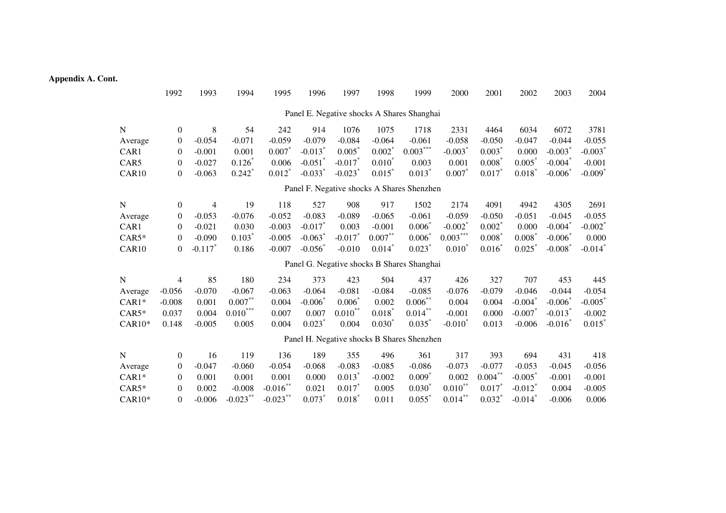#### **Appendix A. Cont.**

|             | 1992             | 1993                  | 1994                             | 1995                 | 1996                  | 1997                  | 1998                 | 1999                                       | 2000                  | 2001       | 2002                  | 2003                  | 2004                  |
|-------------|------------------|-----------------------|----------------------------------|----------------------|-----------------------|-----------------------|----------------------|--------------------------------------------|-----------------------|------------|-----------------------|-----------------------|-----------------------|
|             |                  |                       |                                  |                      |                       |                       |                      | Panel E. Negative shocks A Shares Shanghai |                       |            |                       |                       |                       |
| $\mathbf N$ | $\overline{0}$   | 8                     | 54                               | 242                  | 914                   | 1076                  | 1075                 | 1718                                       | 2331                  | 4464       | 6034                  | 6072                  | 3781                  |
| Average     | $\mathbf{0}$     | $-0.054$              | $-0.071$                         | $-0.059$             | $-0.079$              | $-0.084$              | $-0.064$             | $-0.061$                                   | $-0.058$              | $-0.050$   | $-0.047$              | $-0.044$              | $-0.055$              |
| CAR1        | $\overline{0}$   | $-0.001$              | 0.001                            | $0.007*$             | $-0.013$ <sup>*</sup> | $0.005^*$             | $0.002^*$            | $0.003^{***}$                              | $-0.003$ <sup>*</sup> | 0.003      | 0.000                 | $-0.003$ <sup>*</sup> | $-0.003$ <sup>*</sup> |
| CAR5        | $\Omega$         | $-0.027$              | $0.126*$                         | 0.006                | $-0.051$ <sup>*</sup> | $-0.017$ *            | $0.010^*$            | 0.003                                      | 0.001                 | $0.008^*$  | $0.005^*$             | $-0.004$ <sup>*</sup> | $-0.001$              |
| CAR10       | $\overline{0}$   | $-0.063$              | $0.242$ <sup>*</sup>             | $0.012$ <sup>*</sup> | $-0.033$ <sup>*</sup> | $-0.023$ <sup>*</sup> | $0.015$ <sup>*</sup> | $0.013*$                                   | $0.007*$              | $0.017*$   | $0.018$ <sup>*</sup>  | $-0.006$              | $-0.009$ <sup>*</sup> |
|             |                  |                       |                                  |                      |                       |                       |                      | Panel F. Negative shocks A Shares Shenzhen |                       |            |                       |                       |                       |
| N           | $\overline{0}$   | 4                     | 19                               | 118                  | 527                   | 908                   | 917                  | 1502                                       | 2174                  | 4091       | 4942                  | 4305                  | 2691                  |
| Average     | $\mathbf{0}$     | $-0.053$              | $-0.076$                         | $-0.052$             | $-0.083$              | $-0.089$              | $-0.065$             | $-0.061$                                   | $-0.059$              | $-0.050$   | $-0.051$              | $-0.045$              | $-0.055$              |
| CAR1        | $\overline{0}$   | $-0.021$              | 0.030                            | $-0.003$             | $-0.017$ *            | 0.003                 | $-0.001$             | $0.006*$                                   | $-0.002$ <sup>*</sup> | $0.002^*$  | 0.000                 | $-0.004$ <sup>*</sup> | $-0.002$ <sup>*</sup> |
| $CAR5*$     | $\overline{0}$   | $-0.090$              | $0.103*$                         | $-0.005$             | $-0.063$              | $-0.017$              | $0.007***$           | $0.006^{\circ}$                            | $0.003***$            | 0.008      | $0.008^{\degree}$     | $-0.006$              | 0.000                 |
| CAR10       | $\boldsymbol{0}$ | $-0.117$ <sup>*</sup> | 0.186                            | $-0.007$             | $-0.056$              | $-0.010$              | 0.014                | $0.023*$                                   | $0.010*$              | 0.016      | 0.025                 | $-0.008$ <sup>*</sup> | $-0.014$ <sup>*</sup> |
|             |                  |                       |                                  |                      |                       |                       |                      | Panel G. Negative shocks B Shares Shanghai |                       |            |                       |                       |                       |
| N           | 4                | 85                    | 180                              | 234                  | 373                   | 423                   | 504                  | 437                                        | 426                   | 327        | 707                   | 453                   | 445                   |
| Average     | $-0.056$         | $-0.070$              | $-0.067$                         | $-0.063$             | $-0.064$              | $-0.081$              | $-0.084$             | $-0.085$                                   | $-0.076$              | $-0.079$   | $-0.046$              | $-0.044$              | $-0.054$              |
| $CAR1*$     | $-0.008$         | 0.001                 | $0.007\ensuremath{^{**}}\xspace$ | 0.004                | $-0.006^*$            | $0.006^*$             | 0.002                | $0.006***$                                 | 0.004                 | 0.004      | $-0.004$              | $-0.006$              | $-0.005$              |
| $CAR5*$     | 0.037            | 0.004                 | $0.010^{\ast\ast\ast}$           | 0.007                | 0.007                 | $0.010^{**}$          | $0.018^{^{n}}$       | $0.014***$                                 | $-0.001$              | 0.000      | $-0.007$              | $-0.013$ <sup>*</sup> | $-0.002$              |
| $CAR10*$    | 0.148            | $-0.005$              | 0.005                            | 0.004                | $0.023$ <sup>*</sup>  | 0.004                 | $0.030^{*}$          | 0.035                                      | - $0.010^*$           | 0.013      | $-0.006$              | $-0.016$              | $0.015$ <sup>*</sup>  |
|             |                  |                       |                                  |                      |                       |                       |                      | Panel H. Negative shocks B Shares Shenzhen |                       |            |                       |                       |                       |
| N           | $\overline{0}$   | 16                    | 119                              | 136                  | 189                   | 355                   | 496                  | 361                                        | 317                   | 393        | 694                   | 431                   | 418                   |
| Average     | $\mathbf{0}$     | $-0.047$              | $-0.060$                         | $-0.054$             | $-0.068$              | $-0.083$              | $-0.085$             | $-0.086$                                   | $-0.073$              | $-0.077$   | $-0.053$              | $-0.045$              | $-0.056$              |
| $CAR1*$     | $\overline{0}$   | 0.001                 | 0.001                            | 0.001                | 0.000                 | $0.013$ <sup>*</sup>  | $-0.002$             | $0.009*$                                   | 0.002                 | $0.004***$ | $-0.005$              | $-0.001$              | $-0.001$              |
| $CAR5*$     | $\Omega$         | 0.002                 | $-0.008$                         | $-0.016**$           | 0.021                 | 0.017                 | 0.005                | $0.030^{*}$                                | $0.010^{**}$          | 0.017      | $-0.012$ <sup>*</sup> | 0.004                 | $-0.005$              |
| $CAR10*$    | $\theta$         | $-0.006$              | $-0.023***$                      | $-0.023$ **          | $0.073*$              | $0.018$ <sup>*</sup>  | 0.011                | $0.055$ <sup>*</sup>                       | $0.014***$            | $0.032^*$  | $-0.014$ <sup>*</sup> | $-0.006$              | 0.006                 |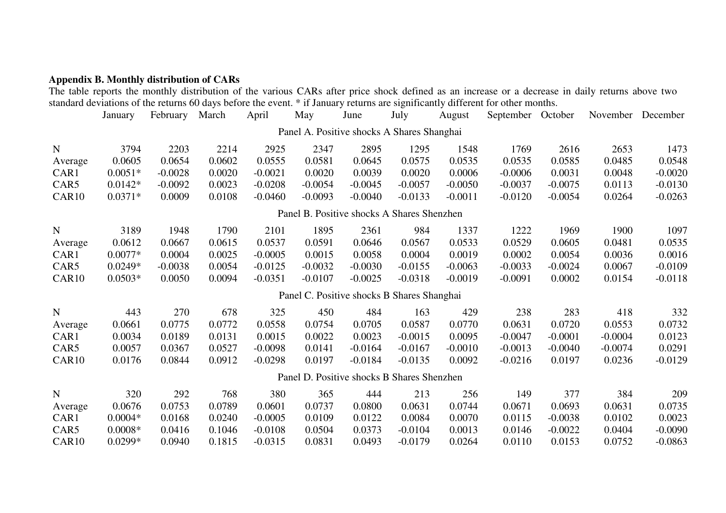**Appendix B. Monthly distribution of CARs**  The table reports the monthly distribution of the various CARs after price shock defined as an increase or a decrease in daily returns above two standard deviations of the returns 60 days before the event. \* if January returns are significantly different for other months.

|             | January   | February  | March  | April     | May                                        | June      | July      | August    | September October |           | November  | December  |
|-------------|-----------|-----------|--------|-----------|--------------------------------------------|-----------|-----------|-----------|-------------------|-----------|-----------|-----------|
|             |           |           |        |           | Panel A. Positive shocks A Shares Shanghai |           |           |           |                   |           |           |           |
| $\mathbf N$ | 3794      | 2203      | 2214   | 2925      | 2347                                       | 2895      | 1295      | 1548      | 1769              | 2616      | 2653      | 1473      |
| Average     | 0.0605    | 0.0654    | 0.0602 | 0.0555    | 0.0581                                     | 0.0645    | 0.0575    | 0.0535    | 0.0535            | 0.0585    | 0.0485    | 0.0548    |
| CAR1        | $0.0051*$ | $-0.0028$ | 0.0020 | $-0.0021$ | 0.0020                                     | 0.0039    | 0.0020    | 0.0006    | $-0.0006$         | 0.0031    | 0.0048    | $-0.0020$ |
| CAR5        | $0.0142*$ | $-0.0092$ | 0.0023 | $-0.0208$ | $-0.0054$                                  | $-0.0045$ | $-0.0057$ | $-0.0050$ | $-0.0037$         | $-0.0075$ | 0.0113    | $-0.0130$ |
| CAR10       | $0.0371*$ | 0.0009    | 0.0108 | $-0.0460$ | $-0.0093$                                  | $-0.0040$ | $-0.0133$ | $-0.0011$ | $-0.0120$         | $-0.0054$ | 0.0264    | $-0.0263$ |
|             |           |           |        |           | Panel B. Positive shocks A Shares Shenzhen |           |           |           |                   |           |           |           |
| N           | 3189      | 1948      | 1790   | 2101      | 1895                                       | 2361      | 984       | 1337      | 1222              | 1969      | 1900      | 1097      |
| Average     | 0.0612    | 0.0667    | 0.0615 | 0.0537    | 0.0591                                     | 0.0646    | 0.0567    | 0.0533    | 0.0529            | 0.0605    | 0.0481    | 0.0535    |
| CAR1        | $0.0077*$ | 0.0004    | 0.0025 | $-0.0005$ | 0.0015                                     | 0.0058    | 0.0004    | 0.0019    | 0.0002            | 0.0054    | 0.0036    | 0.0016    |
| CAR5        | $0.0249*$ | $-0.0038$ | 0.0054 | $-0.0125$ | $-0.0032$                                  | $-0.0030$ | $-0.0155$ | $-0.0063$ | $-0.0033$         | $-0.0024$ | 0.0067    | $-0.0109$ |
| CAR10       | $0.0503*$ | 0.0050    | 0.0094 | $-0.0351$ | $-0.0107$                                  | $-0.0025$ | $-0.0318$ | $-0.0019$ | $-0.0091$         | 0.0002    | 0.0154    | $-0.0118$ |
|             |           |           |        |           | Panel C. Positive shocks B Shares Shanghai |           |           |           |                   |           |           |           |
| $\mathbf N$ | 443       | 270       | 678    | 325       | 450                                        | 484       | 163       | 429       | 238               | 283       | 418       | 332       |
| Average     | 0.0661    | 0.0775    | 0.0772 | 0.0558    | 0.0754                                     | 0.0705    | 0.0587    | 0.0770    | 0.0631            | 0.0720    | 0.0553    | 0.0732    |
| CAR1        | 0.0034    | 0.0189    | 0.0131 | 0.0015    | 0.0022                                     | 0.0023    | $-0.0015$ | 0.0095    | $-0.0047$         | $-0.0001$ | $-0.0004$ | 0.0123    |
| CAR5        | 0.0057    | 0.0367    | 0.0527 | $-0.0098$ | 0.0141                                     | $-0.0164$ | $-0.0167$ | $-0.0010$ | $-0.0013$         | $-0.0040$ | $-0.0074$ | 0.0291    |
| CAR10       | 0.0176    | 0.0844    | 0.0912 | $-0.0298$ | 0.0197                                     | $-0.0184$ | $-0.0135$ | 0.0092    | $-0.0216$         | 0.0197    | 0.0236    | $-0.0129$ |
|             |           |           |        |           | Panel D. Positive shocks B Shares Shenzhen |           |           |           |                   |           |           |           |
| N           | 320       | 292       | 768    | 380       | 365                                        | 444       | 213       | 256       | 149               | 377       | 384       | 209       |
| Average     | 0.0676    | 0.0753    | 0.0789 | 0.0601    | 0.0737                                     | 0.0800    | 0.0631    | 0.0744    | 0.0671            | 0.0693    | 0.0631    | 0.0735    |
| CAR1        | $0.0004*$ | 0.0168    | 0.0240 | $-0.0005$ | 0.0109                                     | 0.0122    | 0.0084    | 0.0070    | 0.0115            | $-0.0038$ | 0.0102    | 0.0023    |
| CAR5        | $0.0008*$ | 0.0416    | 0.1046 | $-0.0108$ | 0.0504                                     | 0.0373    | $-0.0104$ | 0.0013    | 0.0146            | $-0.0022$ | 0.0404    | $-0.0090$ |
| CAR10       | $0.0299*$ | 0.0940    | 0.1815 | $-0.0315$ | 0.0831                                     | 0.0493    | $-0.0179$ | 0.0264    | 0.0110            | 0.0153    | 0.0752    | $-0.0863$ |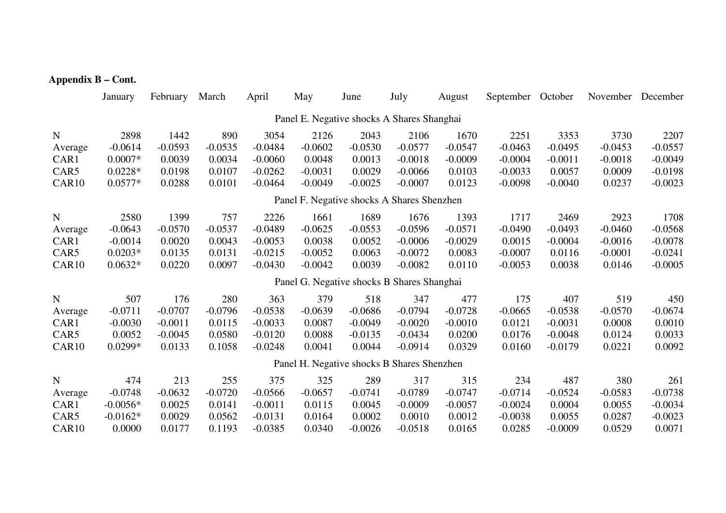#### **Appendix B – Cont.**

|                                            | January    | February  | March     | April     | May       | June      | July      | August    | September October |           | November  | December  |
|--------------------------------------------|------------|-----------|-----------|-----------|-----------|-----------|-----------|-----------|-------------------|-----------|-----------|-----------|
| Panel E. Negative shocks A Shares Shanghai |            |           |           |           |           |           |           |           |                   |           |           |           |
| $\mathbf N$                                | 2898       | 1442      | 890       | 3054      | 2126      | 2043      | 2106      | 1670      | 2251              | 3353      | 3730      | 2207      |
| Average                                    | $-0.0614$  | $-0.0593$ | $-0.0535$ | $-0.0484$ | $-0.0602$ | $-0.0530$ | $-0.0577$ | $-0.0547$ | $-0.0463$         | $-0.0495$ | $-0.0453$ | $-0.0557$ |
| CAR1                                       | $0.0007*$  | 0.0039    | 0.0034    | $-0.0060$ | 0.0048    | 0.0013    | $-0.0018$ | $-0.0009$ | $-0.0004$         | $-0.0011$ | $-0.0018$ | $-0.0049$ |
| CAR5                                       | $0.0228*$  | 0.0198    | 0.0107    | $-0.0262$ | $-0.0031$ | 0.0029    | $-0.0066$ | 0.0103    | $-0.0033$         | 0.0057    | 0.0009    | $-0.0198$ |
| CAR10                                      | $0.0577*$  | 0.0288    | 0.0101    | $-0.0464$ | $-0.0049$ | $-0.0025$ | $-0.0007$ | 0.0123    | $-0.0098$         | $-0.0040$ | 0.0237    | $-0.0023$ |
| Panel F. Negative shocks A Shares Shenzhen |            |           |           |           |           |           |           |           |                   |           |           |           |
| $\mathbf N$                                | 2580       | 1399      | 757       | 2226      | 1661      | 1689      | 1676      | 1393      | 1717              | 2469      | 2923      | 1708      |
| Average                                    | $-0.0643$  | $-0.0570$ | $-0.0537$ | $-0.0489$ | $-0.0625$ | $-0.0553$ | $-0.0596$ | $-0.0571$ | $-0.0490$         | $-0.0493$ | $-0.0460$ | $-0.0568$ |
| CAR1                                       | $-0.0014$  | 0.0020    | 0.0043    | $-0.0053$ | 0.0038    | 0.0052    | $-0.0006$ | $-0.0029$ | 0.0015            | $-0.0004$ | $-0.0016$ | $-0.0078$ |
| CAR5                                       | $0.0203*$  | 0.0135    | 0.0131    | $-0.0215$ | $-0.0052$ | 0.0063    | $-0.0072$ | 0.0083    | $-0.0007$         | 0.0116    | $-0.0001$ | $-0.0241$ |
| CAR10                                      | $0.0632*$  | 0.0220    | 0.0097    | $-0.0430$ | $-0.0042$ | 0.0039    | $-0.0082$ | 0.0110    | $-0.0053$         | 0.0038    | 0.0146    | $-0.0005$ |
| Panel G. Negative shocks B Shares Shanghai |            |           |           |           |           |           |           |           |                   |           |           |           |
| $\mathbf N$                                | 507        | 176       | 280       | 363       | 379       | 518       | 347       | 477       | 175               | 407       | 519       | 450       |
| Average                                    | $-0.0711$  | $-0.0707$ | $-0.0796$ | $-0.0538$ | $-0.0639$ | $-0.0686$ | $-0.0794$ | $-0.0728$ | $-0.0665$         | $-0.0538$ | $-0.0570$ | $-0.0674$ |
| CAR1                                       | $-0.0030$  | $-0.0011$ | 0.0115    | $-0.0033$ | 0.0087    | $-0.0049$ | $-0.0020$ | $-0.0010$ | 0.0121            | $-0.0031$ | 0.0008    | 0.0010    |
| CAR5                                       | 0.0052     | $-0.0045$ | 0.0580    | $-0.0120$ | 0.0088    | $-0.0135$ | $-0.0434$ | 0.0200    | 0.0176            | $-0.0048$ | 0.0124    | 0.0033    |
| CAR10                                      | $0.0299*$  | 0.0133    | 0.1058    | $-0.0248$ | 0.0041    | 0.0044    | $-0.0914$ | 0.0329    | 0.0160            | $-0.0179$ | 0.0221    | 0.0092    |
| Panel H. Negative shocks B Shares Shenzhen |            |           |           |           |           |           |           |           |                   |           |           |           |
| $\mathbf N$                                | 474        | 213       | 255       | 375       | 325       | 289       | 317       | 315       | 234               | 487       | 380       | 261       |
| Average                                    | $-0.0748$  | $-0.0632$ | $-0.0720$ | $-0.0566$ | $-0.0657$ | $-0.0741$ | $-0.0789$ | $-0.0747$ | $-0.0714$         | $-0.0524$ | $-0.0583$ | $-0.0738$ |
| CAR1                                       | $-0.0056*$ | 0.0025    | 0.0141    | $-0.0011$ | 0.0115    | 0.0045    | $-0.0009$ | $-0.0057$ | $-0.0024$         | 0.0004    | 0.0055    | $-0.0034$ |
| CAR5                                       | $-0.0162*$ | 0.0029    | 0.0562    | $-0.0131$ | 0.0164    | 0.0002    | 0.0010    | 0.0012    | $-0.0038$         | 0.0055    | 0.0287    | $-0.0023$ |
| CAR10                                      | 0.0000     | 0.0177    | 0.1193    | $-0.0385$ | 0.0340    | $-0.0026$ | $-0.0518$ | 0.0165    | 0.0285            | $-0.0009$ | 0.0529    | 0.0071    |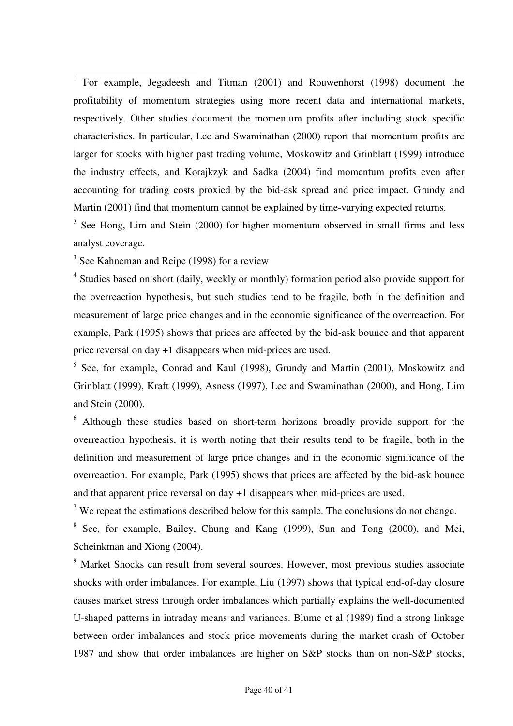<sup>1</sup> For example, Jegadeesh and Titman (2001) and Rouwenhorst (1998) document the profitability of momentum strategies using more recent data and international markets, respectively. Other studies document the momentum profits after including stock specific characteristics. In particular, Lee and Swaminathan (2000) report that momentum profits are larger for stocks with higher past trading volume, Moskowitz and Grinblatt (1999) introduce the industry effects, and Korajkzyk and Sadka (2004) find momentum profits even after accounting for trading costs proxied by the bid-ask spread and price impact. Grundy and Martin (2001) find that momentum cannot be explained by time-varying expected returns.

 $2^2$  See Hong, Lim and Stein (2000) for higher momentum observed in small firms and less analyst coverage.

<sup>3</sup> See Kahneman and Reipe (1998) for a review

<sup>4</sup> Studies based on short (daily, weekly or monthly) formation period also provide support for the overreaction hypothesis, but such studies tend to be fragile, both in the definition and measurement of large price changes and in the economic significance of the overreaction. For example, Park (1995) shows that prices are affected by the bid-ask bounce and that apparent price reversal on day +1 disappears when mid-prices are used.

<sup>5</sup> See, for example, Conrad and Kaul (1998), Grundy and Martin (2001), Moskowitz and Grinblatt (1999), Kraft (1999), Asness (1997), Lee and Swaminathan (2000), and Hong, Lim and Stein (2000).

<sup>6</sup> Although these studies based on short-term horizons broadly provide support for the overreaction hypothesis, it is worth noting that their results tend to be fragile, both in the definition and measurement of large price changes and in the economic significance of the overreaction. For example, Park (1995) shows that prices are affected by the bid-ask bounce and that apparent price reversal on day +1 disappears when mid-prices are used.

<sup>7</sup> We repeat the estimations described below for this sample. The conclusions do not change.

<sup>8</sup> See, for example, Bailey, Chung and Kang (1999), Sun and Tong (2000), and Mei, Scheinkman and Xiong (2004).

<sup>9</sup> Market Shocks can result from several sources. However, most previous studies associate shocks with order imbalances. For example, Liu (1997) shows that typical end-of-day closure causes market stress through order imbalances which partially explains the well-documented U-shaped patterns in intraday means and variances. Blume et al (1989) find a strong linkage between order imbalances and stock price movements during the market crash of October 1987 and show that order imbalances are higher on S&P stocks than on non-S&P stocks,